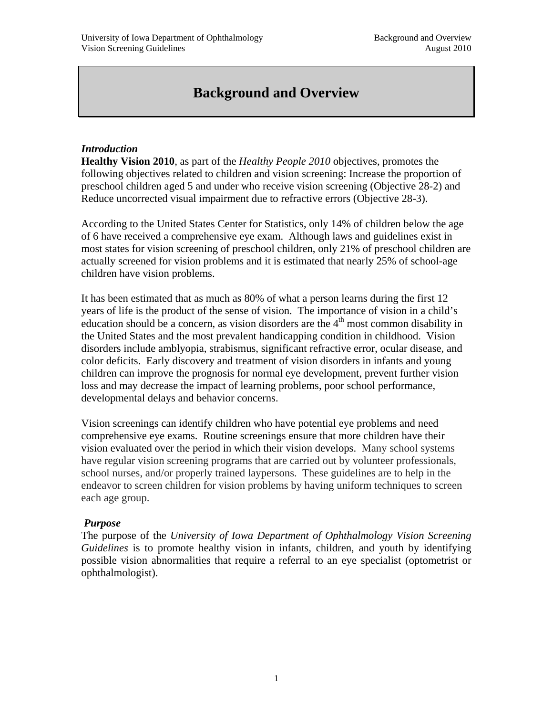# **Background and Overview**

# *Introduction*

**Healthy Vision 2010**, as part of the *Healthy People 2010* objectives, promotes the following objectives related to children and vision screening: Increase the proportion of preschool children aged 5 and under who receive vision screening (Objective 28-2) and Reduce uncorrected visual impairment due to refractive errors (Objective 28-3).

According to the United States Center for Statistics, only 14% of children below the age of 6 have received a comprehensive eye exam. Although laws and guidelines exist in most states for vision screening of preschool children, only 21% of preschool children are actually screened for vision problems and it is estimated that nearly 25% of school-age children have vision problems.

It has been estimated that as much as 80% of what a person learns during the first 12 years of life is the product of the sense of vision. The importance of vision in a child's education should be a concern, as vision disorders are the  $4<sup>th</sup>$  most common disability in the United States and the most prevalent handicapping condition in childhood. Vision disorders include amblyopia, strabismus, significant refractive error, ocular disease, and color deficits. Early discovery and treatment of vision disorders in infants and young children can improve the prognosis for normal eye development, prevent further vision loss and may decrease the impact of learning problems, poor school performance, developmental delays and behavior concerns.

Vision screenings can identify children who have potential eye problems and need comprehensive eye exams. Routine screenings ensure that more children have their vision evaluated over the period in which their vision develops. Many school systems have regular vision screening programs that are carried out by volunteer professionals, school nurses, and/or properly trained laypersons. These guidelines are to help in the endeavor to screen children for vision problems by having uniform techniques to screen each age group.

# *Purpose*

The purpose of the *University of Iowa Department of Ophthalmology Vision Screening Guidelines* is to promote healthy vision in infants, children, and youth by identifying possible vision abnormalities that require a referral to an eye specialist (optometrist or ophthalmologist).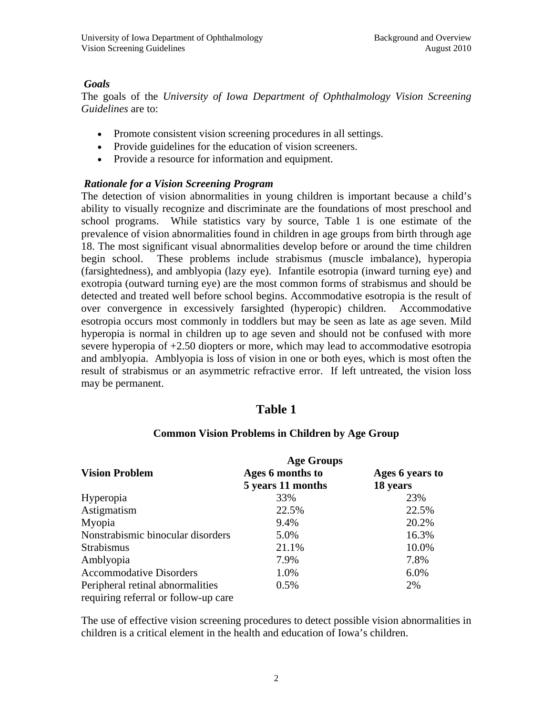# *Goals*

The goals of the *University of Iowa Department of Ophthalmology Vision Screening Guidelines* are to:

- Promote consistent vision screening procedures in all settings.
- Provide guidelines for the education of vision screeners.
- Provide a resource for information and equipment.

# *Rationale for a Vision Screening Program*

The detection of vision abnormalities in young children is important because a child's ability to visually recognize and discriminate are the foundations of most preschool and school programs. While statistics vary by source, Table 1 is one estimate of the prevalence of vision abnormalities found in children in age groups from birth through age 18. The most significant visual abnormalities develop before or around the time children begin school. These problems include strabismus (muscle imbalance), hyperopia (farsightedness), and amblyopia (lazy eye). Infantile esotropia (inward turning eye) and exotropia (outward turning eye) are the most common forms of strabismus and should be detected and treated well before school begins. Accommodative esotropia is the result of over convergence in excessively farsighted (hyperopic) children. Accommodative esotropia occurs most commonly in toddlers but may be seen as late as age seven. Mild hyperopia is normal in children up to age seven and should not be confused with more severe hyperopia of +2.50 diopters or more, which may lead to accommodative esotropia and amblyopia. Amblyopia is loss of vision in one or both eyes, which is most often the result of strabismus or an asymmetric refractive error. If left untreated, the vision loss may be permanent.

# **Table 1**

|                                      | <b>Age Groups</b> |                 |  |  |
|--------------------------------------|-------------------|-----------------|--|--|
| <b>Vision Problem</b>                | Ages 6 months to  | Ages 6 years to |  |  |
|                                      | 5 years 11 months | 18 years        |  |  |
| Hyperopia                            | 33%               | 23%             |  |  |
| Astigmatism                          | 22.5%             | 22.5%           |  |  |
| Myopia                               | 9.4%              | 20.2%           |  |  |
| Nonstrabismic binocular disorders    | 5.0%              | 16.3%           |  |  |
| <b>Strabismus</b>                    | 21.1%             | 10.0%           |  |  |
| Amblyopia                            | 7.9%              | 7.8%            |  |  |
| <b>Accommodative Disorders</b>       | 1.0%              | 6.0%            |  |  |
| Peripheral retinal abnormalities     | 0.5%              | 2%              |  |  |
| requiring referral or follow-up care |                   |                 |  |  |

# **Common Vision Problems in Children by Age Group**

The use of effective vision screening procedures to detect possible vision abnormalities in children is a critical element in the health and education of Iowa's children.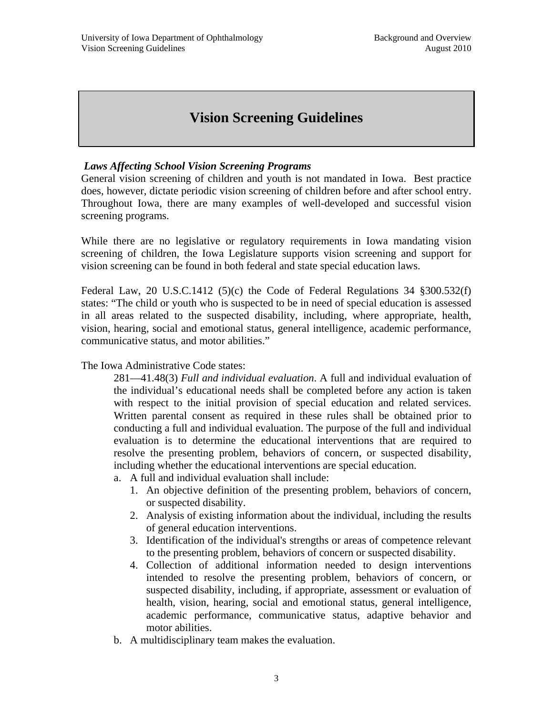# **Vision Screening Guidelines**

# *Laws Affecting School Vision Screening Programs*

General vision screening of children and youth is not mandated in Iowa. Best practice does, however, dictate periodic vision screening of children before and after school entry. Throughout Iowa, there are many examples of well-developed and successful vision screening programs.

While there are no legislative or regulatory requirements in Iowa mandating vision screening of children, the Iowa Legislature supports vision screening and support for vision screening can be found in both federal and state special education laws.

Federal Law, 20 U.S.C.1412 (5)(c) the Code of Federal Regulations 34 §300.532(f) states: "The child or youth who is suspected to be in need of special education is assessed in all areas related to the suspected disability, including, where appropriate, health, vision, hearing, social and emotional status, general intelligence, academic performance, communicative status, and motor abilities."

The Iowa Administrative Code states:

281—41.48(3) *Full and individual evaluation*. A full and individual evaluation of the individual's educational needs shall be completed before any action is taken with respect to the initial provision of special education and related services. Written parental consent as required in these rules shall be obtained prior to conducting a full and individual evaluation. The purpose of the full and individual evaluation is to determine the educational interventions that are required to resolve the presenting problem, behaviors of concern, or suspected disability, including whether the educational interventions are special education.

a. A full and individual evaluation shall include:

- 1. An objective definition of the presenting problem, behaviors of concern, or suspected disability.
- 2. Analysis of existing information about the individual, including the results of general education interventions.
- 3. Identification of the individual's strengths or areas of competence relevant to the presenting problem, behaviors of concern or suspected disability.
- 4. Collection of additional information needed to design interventions intended to resolve the presenting problem, behaviors of concern, or suspected disability, including, if appropriate, assessment or evaluation of health, vision, hearing, social and emotional status, general intelligence, academic performance, communicative status, adaptive behavior and motor abilities.
- b. A multidisciplinary team makes the evaluation.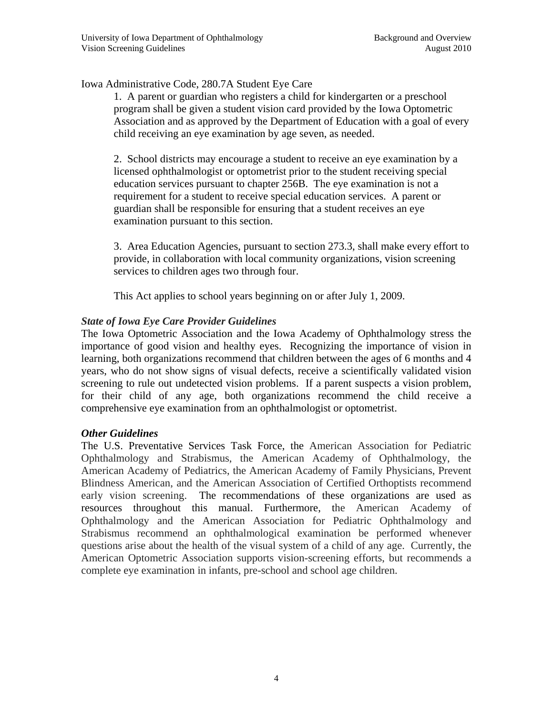Iowa Administrative Code, 280.7A Student Eye Care

1. A parent or guardian who registers a child for kindergarten or a preschool program shall be given a student vision card provided by the Iowa Optometric Association and as approved by the Department of Education with a goal of every child receiving an eye examination by age seven, as needed.

2. School districts may encourage a student to receive an eye examination by a licensed ophthalmologist or optometrist prior to the student receiving special education services pursuant to chapter 256B. The eye examination is not a requirement for a student to receive special education services. A parent or guardian shall be responsible for ensuring that a student receives an eye examination pursuant to this section.

3. Area Education Agencies, pursuant to section 273.3, shall make every effort to provide, in collaboration with local community organizations, vision screening services to children ages two through four.

This Act applies to school years beginning on or after July 1, 2009.

### *State of Iowa Eye Care Provider Guidelines*

The Iowa Optometric Association and the Iowa Academy of Ophthalmology stress the importance of good vision and healthy eyes. Recognizing the importance of vision in learning, both organizations recommend that children between the ages of 6 months and 4 years, who do not show signs of visual defects, receive a scientifically validated vision screening to rule out undetected vision problems. If a parent suspects a vision problem, for their child of any age, both organizations recommend the child receive a comprehensive eye examination from an ophthalmologist or optometrist.

# *Other Guidelines*

The U.S. Preventative Services Task Force, the American Association for Pediatric Ophthalmology and Strabismus, the American Academy of Ophthalmology, the American Academy of Pediatrics, the American Academy of Family Physicians, Prevent Blindness American, and the American Association of Certified Orthoptists recommend early vision screening. The recommendations of these organizations are used as resources throughout this manual. Furthermore, the American Academy of Ophthalmology and the American Association for Pediatric Ophthalmology and Strabismus recommend an ophthalmological examination be performed whenever questions arise about the health of the visual system of a child of any age. Currently, the American Optometric Association supports vision-screening efforts, but recommends a complete eye examination in infants, pre-school and school age children.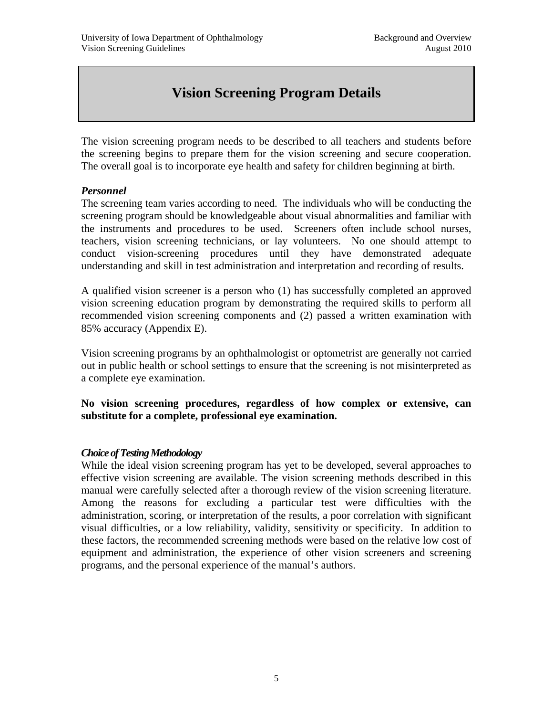# **Vision Screening Program Details**

The vision screening program needs to be described to all teachers and students before the screening begins to prepare them for the vision screening and secure cooperation. The overall goal is to incorporate eye health and safety for children beginning at birth.

# *Personnel*

The screening team varies according to need. The individuals who will be conducting the screening program should be knowledgeable about visual abnormalities and familiar with the instruments and procedures to be used. Screeners often include school nurses, teachers, vision screening technicians, or lay volunteers. No one should attempt to conduct vision-screening procedures until they have demonstrated adequate understanding and skill in test administration and interpretation and recording of results.

A qualified vision screener is a person who (1) has successfully completed an approved vision screening education program by demonstrating the required skills to perform all recommended vision screening components and (2) passed a written examination with 85% accuracy (Appendix E).

Vision screening programs by an ophthalmologist or optometrist are generally not carried out in public health or school settings to ensure that the screening is not misinterpreted as a complete eye examination.

**No vision screening procedures, regardless of how complex or extensive, can substitute for a complete, professional eye examination.** 

#### *Choice of Testing Methodology*

While the ideal vision screening program has yet to be developed, several approaches to effective vision screening are available. The vision screening methods described in this manual were carefully selected after a thorough review of the vision screening literature. Among the reasons for excluding a particular test were difficulties with the administration, scoring, or interpretation of the results, a poor correlation with significant visual difficulties, or a low reliability, validity, sensitivity or specificity. In addition to these factors, the recommended screening methods were based on the relative low cost of equipment and administration, the experience of other vision screeners and screening programs, and the personal experience of the manual's authors.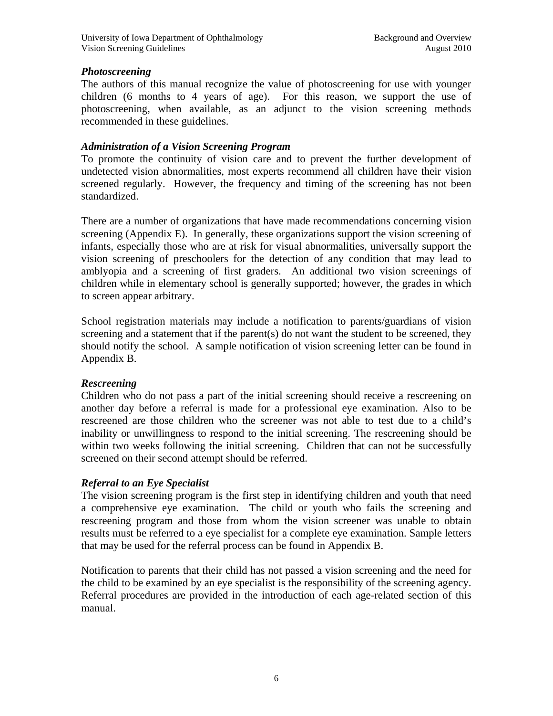# *Photoscreening*

The authors of this manual recognize the value of photoscreening for use with younger children (6 months to 4 years of age). For this reason, we support the use of photoscreening, when available, as an adjunct to the vision screening methods recommended in these guidelines.

# *Administration of a Vision Screening Program*

To promote the continuity of vision care and to prevent the further development of undetected vision abnormalities, most experts recommend all children have their vision screened regularly. However, the frequency and timing of the screening has not been standardized.

There are a number of organizations that have made recommendations concerning vision screening (Appendix E). In generally, these organizations support the vision screening of infants, especially those who are at risk for visual abnormalities, universally support the vision screening of preschoolers for the detection of any condition that may lead to amblyopia and a screening of first graders. An additional two vision screenings of children while in elementary school is generally supported; however, the grades in which to screen appear arbitrary.

School registration materials may include a notification to parents/guardians of vision screening and a statement that if the parent(s) do not want the student to be screened, they should notify the school. A sample notification of vision screening letter can be found in Appendix B.

# *Rescreening*

Children who do not pass a part of the initial screening should receive a rescreening on another day before a referral is made for a professional eye examination. Also to be rescreened are those children who the screener was not able to test due to a child's inability or unwillingness to respond to the initial screening. The rescreening should be within two weeks following the initial screening. Children that can not be successfully screened on their second attempt should be referred.

# *Referral to an Eye Specialist*

The vision screening program is the first step in identifying children and youth that need a comprehensive eye examination. The child or youth who fails the screening and rescreening program and those from whom the vision screener was unable to obtain results must be referred to a eye specialist for a complete eye examination. Sample letters that may be used for the referral process can be found in Appendix B.

Notification to parents that their child has not passed a vision screening and the need for the child to be examined by an eye specialist is the responsibility of the screening agency. Referral procedures are provided in the introduction of each age-related section of this manual.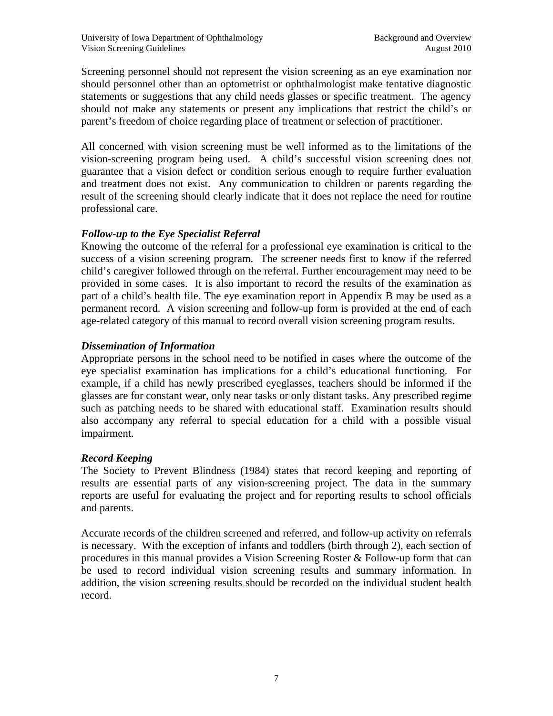Screening personnel should not represent the vision screening as an eye examination nor should personnel other than an optometrist or ophthalmologist make tentative diagnostic statements or suggestions that any child needs glasses or specific treatment. The agency should not make any statements or present any implications that restrict the child's or parent's freedom of choice regarding place of treatment or selection of practitioner.

All concerned with vision screening must be well informed as to the limitations of the vision-screening program being used. A child's successful vision screening does not guarantee that a vision defect or condition serious enough to require further evaluation and treatment does not exist. Any communication to children or parents regarding the result of the screening should clearly indicate that it does not replace the need for routine professional care.

# *Follow-up to the Eye Specialist Referral*

Knowing the outcome of the referral for a professional eye examination is critical to the success of a vision screening program. The screener needs first to know if the referred child's caregiver followed through on the referral. Further encouragement may need to be provided in some cases. It is also important to record the results of the examination as part of a child's health file. The eye examination report in Appendix B may be used as a permanent record. A vision screening and follow-up form is provided at the end of each age-related category of this manual to record overall vision screening program results.

# *Dissemination of Information*

Appropriate persons in the school need to be notified in cases where the outcome of the eye specialist examination has implications for a child's educational functioning. For example, if a child has newly prescribed eyeglasses, teachers should be informed if the glasses are for constant wear, only near tasks or only distant tasks. Any prescribed regime such as patching needs to be shared with educational staff. Examination results should also accompany any referral to special education for a child with a possible visual impairment.

# *Record Keeping*

The Society to Prevent Blindness (1984) states that record keeping and reporting of results are essential parts of any vision-screening project. The data in the summary reports are useful for evaluating the project and for reporting results to school officials and parents.

Accurate records of the children screened and referred, and follow-up activity on referrals is necessary. With the exception of infants and toddlers (birth through 2), each section of procedures in this manual provides a Vision Screening Roster & Follow-up form that can be used to record individual vision screening results and summary information. In addition, the vision screening results should be recorded on the individual student health record.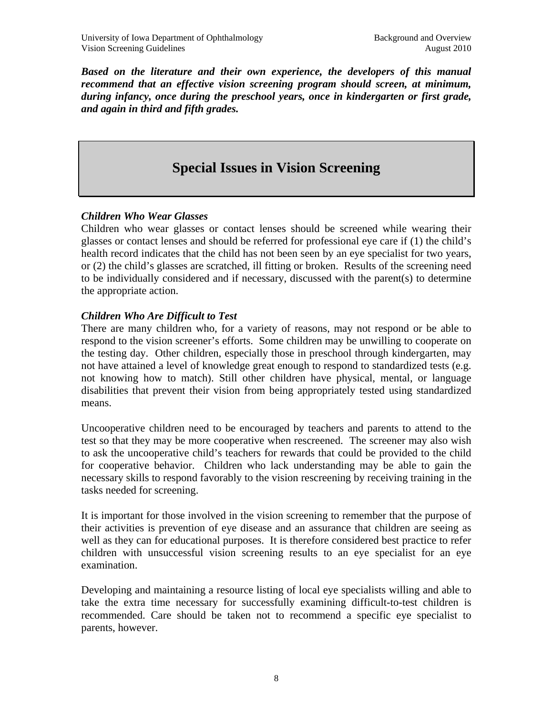*Based on the literature and their own experience, the developers of this manual recommend that an effective vision screening program should screen, at minimum, during infancy, once during the preschool years, once in kindergarten or first grade, and again in third and fifth grades.* 

# **Special Issues in Vision Screening**

# *Children Who Wear Glasses*

Children who wear glasses or contact lenses should be screened while wearing their glasses or contact lenses and should be referred for professional eye care if (1) the child's health record indicates that the child has not been seen by an eye specialist for two years, or (2) the child's glasses are scratched, ill fitting or broken. Results of the screening need to be individually considered and if necessary, discussed with the parent(s) to determine the appropriate action.

# *Children Who Are Difficult to Test*

There are many children who, for a variety of reasons, may not respond or be able to respond to the vision screener's efforts. Some children may be unwilling to cooperate on the testing day. Other children, especially those in preschool through kindergarten, may not have attained a level of knowledge great enough to respond to standardized tests (e.g. not knowing how to match). Still other children have physical, mental, or language disabilities that prevent their vision from being appropriately tested using standardized means.

Uncooperative children need to be encouraged by teachers and parents to attend to the test so that they may be more cooperative when rescreened. The screener may also wish to ask the uncooperative child's teachers for rewards that could be provided to the child for cooperative behavior. Children who lack understanding may be able to gain the necessary skills to respond favorably to the vision rescreening by receiving training in the tasks needed for screening.

It is important for those involved in the vision screening to remember that the purpose of their activities is prevention of eye disease and an assurance that children are seeing as well as they can for educational purposes. It is therefore considered best practice to refer children with unsuccessful vision screening results to an eye specialist for an eye examination.

Developing and maintaining a resource listing of local eye specialists willing and able to take the extra time necessary for successfully examining difficult-to-test children is recommended. Care should be taken not to recommend a specific eye specialist to parents, however.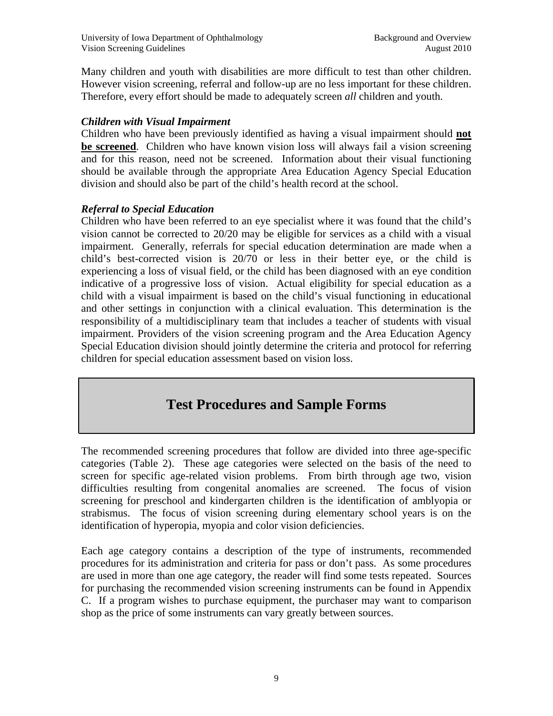Many children and youth with disabilities are more difficult to test than other children. However vision screening, referral and follow-up are no less important for these children. Therefore, every effort should be made to adequately screen *all* children and youth.

# *Children with Visual Impairment*

Children who have been previously identified as having a visual impairment should **not be screened**. Children who have known vision loss will always fail a vision screening and for this reason, need not be screened. Information about their visual functioning should be available through the appropriate Area Education Agency Special Education division and should also be part of the child's health record at the school.

# *Referral to Special Education*

Children who have been referred to an eye specialist where it was found that the child's vision cannot be corrected to 20/20 may be eligible for services as a child with a visual impairment. Generally, referrals for special education determination are made when a child's best-corrected vision is 20/70 or less in their better eye, or the child is experiencing a loss of visual field, or the child has been diagnosed with an eye condition indicative of a progressive loss of vision. Actual eligibility for special education as a child with a visual impairment is based on the child's visual functioning in educational and other settings in conjunction with a clinical evaluation. This determination is the responsibility of a multidisciplinary team that includes a teacher of students with visual impairment. Providers of the vision screening program and the Area Education Agency Special Education division should jointly determine the criteria and protocol for referring children for special education assessment based on vision loss.

# **Test Procedures and Sample Forms**

The recommended screening procedures that follow are divided into three age-specific categories (Table 2). These age categories were selected on the basis of the need to screen for specific age-related vision problems. From birth through age two, vision difficulties resulting from congenital anomalies are screened. The focus of vision screening for preschool and kindergarten children is the identification of amblyopia or strabismus. The focus of vision screening during elementary school years is on the identification of hyperopia, myopia and color vision deficiencies.

Each age category contains a description of the type of instruments, recommended procedures for its administration and criteria for pass or don't pass. As some procedures are used in more than one age category, the reader will find some tests repeated. Sources for purchasing the recommended vision screening instruments can be found in Appendix C. If a program wishes to purchase equipment, the purchaser may want to comparison shop as the price of some instruments can vary greatly between sources.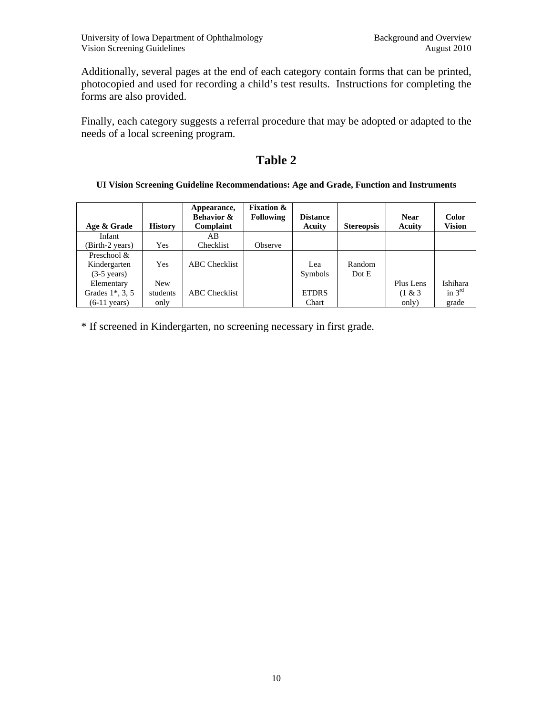Additionally, several pages at the end of each category contain forms that can be printed, photocopied and used for recording a child's test results. Instructions for completing the forms are also provided.

Finally, each category suggests a referral procedure that may be adopted or adapted to the needs of a local screening program.

# **Table 2**

#### **UI Vision Screening Guideline Recommendations: Age and Grade, Function and Instruments**

| Age & Grade                                                 | <b>History</b>                 | Appearance,<br><b>Behavior &amp;</b><br>Complaint | <b>Fixation &amp;</b><br><b>Following</b> | <b>Distance</b><br>Acuity | <b>Stereopsis</b> | <b>Near</b><br>Acuity         | <b>Color</b><br><b>Vision</b> |
|-------------------------------------------------------------|--------------------------------|---------------------------------------------------|-------------------------------------------|---------------------------|-------------------|-------------------------------|-------------------------------|
| Infant                                                      |                                | AB.                                               |                                           |                           |                   |                               |                               |
| (Birth-2 years)                                             | <b>Yes</b>                     | Checklist                                         | Observe                                   |                           |                   |                               |                               |
| Preschool &<br>Kindergarten<br>$(3-5 \text{ years})$        | <b>Yes</b>                     | <b>ABC</b> Checklist                              |                                           | Lea<br><b>Symbols</b>     | Random<br>Dot E   |                               |                               |
| Elementary<br>Grades $1^*$ , 3, 5<br>$(6-11 \text{ years})$ | <b>New</b><br>students<br>only | <b>ABC</b> Checklist                              |                                           | <b>ETDRS</b><br>Chart     |                   | Plus Lens<br>(1 & 8)<br>only) | Ishihara<br>in $3rd$<br>grade |

\* If screened in Kindergarten, no screening necessary in first grade.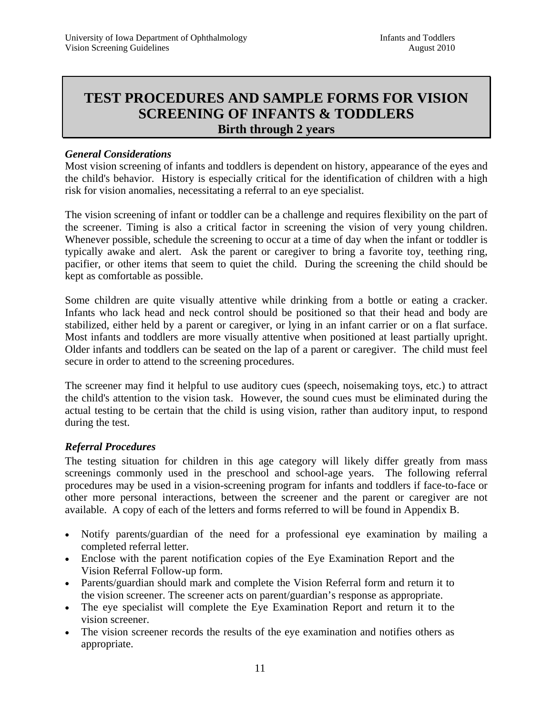# **TEST PROCEDURES AND SAMPLE FORMS FOR VISION SCREENING OF INFANTS & TODDLERS Birth through 2 years**

### *General Considerations*

Most vision screening of infants and toddlers is dependent on history, appearance of the eyes and the child's behavior. History is especially critical for the identification of children with a high risk for vision anomalies, necessitating a referral to an eye specialist.

The vision screening of infant or toddler can be a challenge and requires flexibility on the part of the screener. Timing is also a critical factor in screening the vision of very young children. Whenever possible, schedule the screening to occur at a time of day when the infant or toddler is typically awake and alert. Ask the parent or caregiver to bring a favorite toy, teething ring, pacifier, or other items that seem to quiet the child. During the screening the child should be kept as comfortable as possible.

Some children are quite visually attentive while drinking from a bottle or eating a cracker. Infants who lack head and neck control should be positioned so that their head and body are stabilized, either held by a parent or caregiver, or lying in an infant carrier or on a flat surface. Most infants and toddlers are more visually attentive when positioned at least partially upright. Older infants and toddlers can be seated on the lap of a parent or caregiver. The child must feel secure in order to attend to the screening procedures.

The screener may find it helpful to use auditory cues (speech, noisemaking toys, etc.) to attract the child's attention to the vision task. However, the sound cues must be eliminated during the actual testing to be certain that the child is using vision, rather than auditory input, to respond during the test.

#### *Referral Procedures*

The testing situation for children in this age category will likely differ greatly from mass screenings commonly used in the preschool and school-age years. The following referral procedures may be used in a vision-screening program for infants and toddlers if face-to-face or other more personal interactions, between the screener and the parent or caregiver are not available. A copy of each of the letters and forms referred to will be found in Appendix B.

- Notify parents/guardian of the need for a professional eye examination by mailing a completed referral letter.
- Enclose with the parent notification copies of the Eye Examination Report and the Vision Referral Follow-up form.
- Parents/guardian should mark and complete the Vision Referral form and return it to the vision screener. The screener acts on parent/guardian's response as appropriate.
- The eye specialist will complete the Eye Examination Report and return it to the vision screener.
- The vision screener records the results of the eye examination and notifies others as appropriate.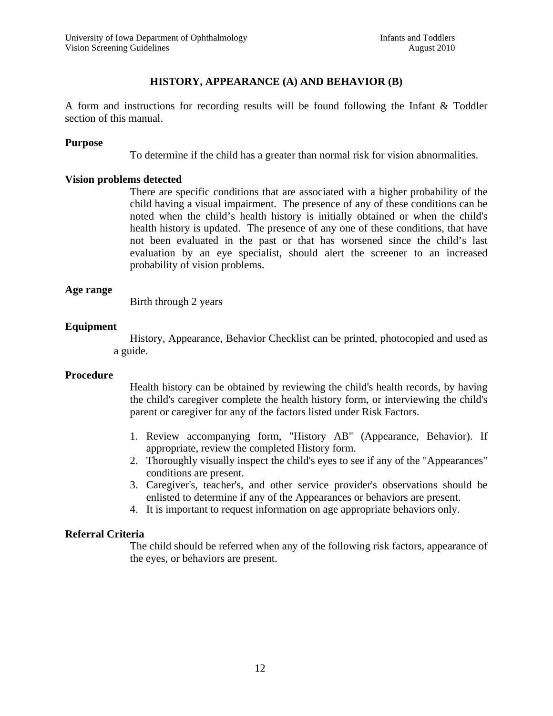## **HISTORY, APPEARANCE (A) AND BEHAVIOR (B)**

A form and instructions for recording results will be found following the Infant & Toddler section of this manual.

#### **Purpose**

To determine if the child has a greater than normal risk for vision abnormalities.

#### **Vision problems detected**

There are specific conditions that are associated with a higher probability of the child having a visual impairment. The presence of any of these conditions can be noted when the child's health history is initially obtained or when the child's health history is updated. The presence of any one of these conditions, that have not been evaluated in the past or that has worsened since the child's last evaluation by an eye specialist, should alert the screener to an increased probability of vision problems.

#### **Age range**

Birth through 2 years

#### **Equipment**

History, Appearance, Behavior Checklist can be printed, photocopied and used as a guide.

#### **Procedure**

Health history can be obtained by reviewing the child's health records, by having the child's caregiver complete the health history form, or interviewing the child's parent or caregiver for any of the factors listed under Risk Factors.

- 1. Review accompanying form, "History AB" (Appearance, Behavior). If appropriate, review the completed History form.
- 2. Thoroughly visually inspect the child's eyes to see if any of the "Appearances" conditions are present.
- 3. Caregiver's, teacher's, and other service provider's observations should be enlisted to determine if any of the Appearances or behaviors are present.
- 4. It is important to request information on age appropriate behaviors only.

#### **Referral Criteria**

The child should be referred when any of the following risk factors, appearance of the eyes, or behaviors are present.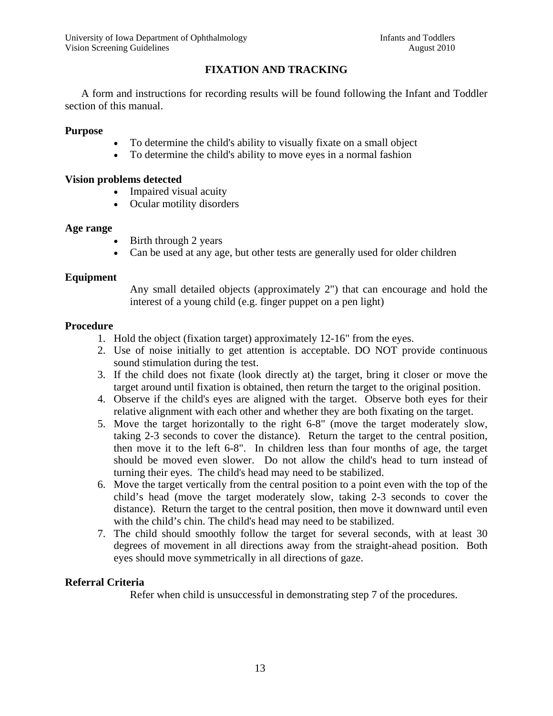# **FIXATION AND TRACKING**

 A form and instructions for recording results will be found following the Infant and Toddler section of this manual.

#### **Purpose**

- To determine the child's ability to visually fixate on a small object
- To determine the child's ability to move eyes in a normal fashion

#### **Vision problems detected**

- Impaired visual acuity
- Ocular motility disorders

#### **Age range**

- Birth through 2 years
- Can be used at any age, but other tests are generally used for older children

#### **Equipment**

Any small detailed objects (approximately 2") that can encourage and hold the interest of a young child (e.g. finger puppet on a pen light)

#### **Procedure**

- 1. Hold the object (fixation target) approximately 12-16" from the eyes.
- 2. Use of noise initially to get attention is acceptable. DO NOT provide continuous sound stimulation during the test.
- 3. If the child does not fixate (look directly at) the target, bring it closer or move the target around until fixation is obtained, then return the target to the original position.
- 4. Observe if the child's eyes are aligned with the target. Observe both eyes for their relative alignment with each other and whether they are both fixating on the target.
- 5. Move the target horizontally to the right 6-8" (move the target moderately slow, taking 2-3 seconds to cover the distance). Return the target to the central position, then move it to the left 6-8". In children less than four months of age, the target should be moved even slower. Do not allow the child's head to turn instead of turning their eyes. The child's head may need to be stabilized.
- 6. Move the target vertically from the central position to a point even with the top of the child's head (move the target moderately slow, taking 2-3 seconds to cover the distance). Return the target to the central position, then move it downward until even with the child's chin. The child's head may need to be stabilized.
- 7. The child should smoothly follow the target for several seconds, with at least 30 degrees of movement in all directions away from the straight-ahead position. Both eyes should move symmetrically in all directions of gaze.

# **Referral Criteria**

Refer when child is unsuccessful in demonstrating step 7 of the procedures.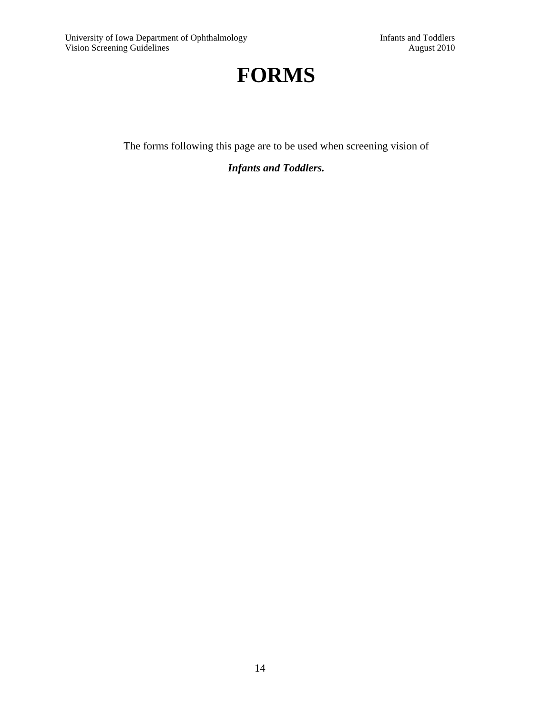# **FORMS**

The forms following this page are to be used when screening vision of

*Infants and Toddlers.*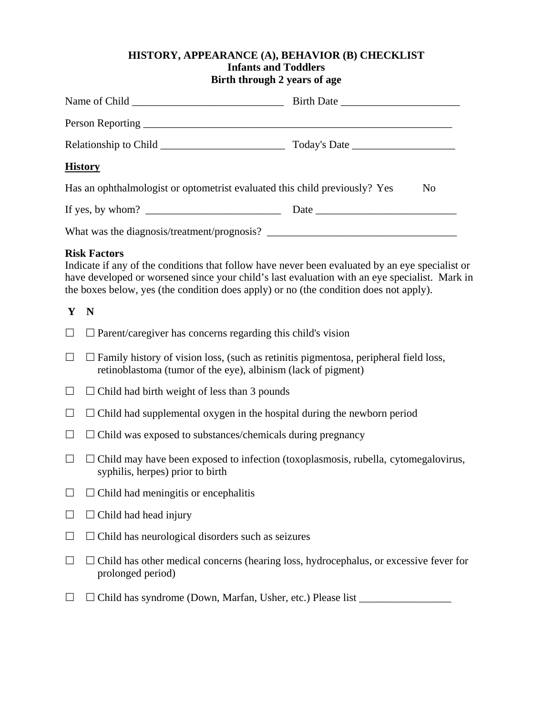#### **HISTORY, APPEARANCE (A), BEHAVIOR (B) CHECKLIST Infants and Toddlers Birth through 2 years of age**

| <b>History</b>                                                             |                |
|----------------------------------------------------------------------------|----------------|
| Has an ophthalmologist or optometrist evaluated this child previously? Yes | N <sub>0</sub> |
| If yes, by whom? $\qquad \qquad$                                           | Date           |
| What was the diagnosis/treatment/prognosis?                                |                |

#### **Risk Factors**

Indicate if any of the conditions that follow have never been evaluated by an eye specialist or have developed or worsened since your child's last evaluation with an eye specialist. Mark in the boxes below, yes (the condition does apply) or no (the condition does not apply).

#### **Y N**

- $\Box$   $\Box$  Parent/caregiver has concerns regarding this child's vision
- $\Box$   $\Box$  Family history of vision loss, (such as retinitis pigmentosa, peripheral field loss, retinoblastoma (tumor of the eye), albinism (lack of pigment)
- $\Box$   $\Box$  Child had birth weight of less than 3 pounds
- $\Box$   $\Box$  Child had supplemental oxygen in the hospital during the newborn period
- $\Box$   $\Box$  Child was exposed to substances/chemicals during pregnancy
- $\Box$   $\Box$  Child may have been exposed to infection (toxoplasmosis, rubella, cytomegalovirus, syphilis, herpes) prior to birth
- $\Box$   $\Box$  Child had meningitis or encephalitis
- $\square$   $\square$  Child had head injury
- $\Box$   $\Box$  Child has neurological disorders such as seizures
- $\Box$   $\Box$  Child has other medical concerns (hearing loss, hydrocephalus, or excessive fever for prolonged period)
- $\Box$   $\Box$  Child has syndrome (Down, Marfan, Usher, etc.) Please list  $\Box$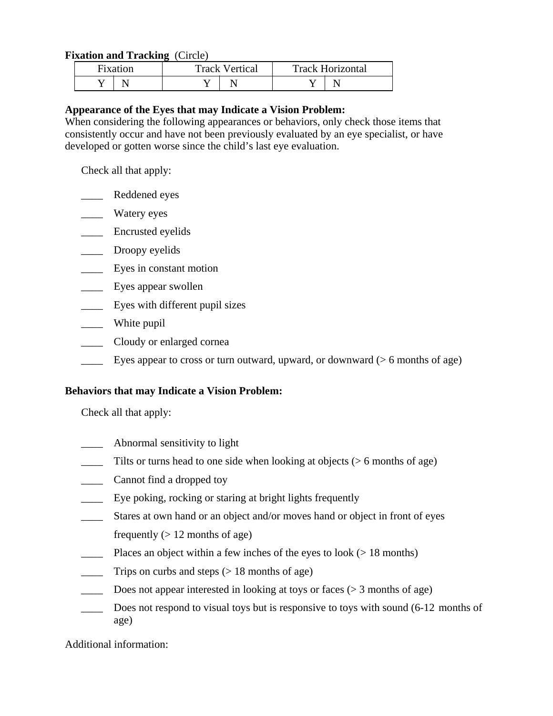#### **Fixation and Tracking** (Circle)

| Fixation | <b>Track Vertical</b> |  | <b>Track Horizontal</b> |  |  |
|----------|-----------------------|--|-------------------------|--|--|
|          |                       |  |                         |  |  |

#### **Appearance of the Eyes that may Indicate a Vision Problem:**

When considering the following appearances or behaviors, only check those items that consistently occur and have not been previously evaluated by an eye specialist, or have developed or gotten worse since the child's last eye evaluation.

Check all that apply:

- \_\_\_\_ Reddened eyes
- \_\_\_\_ Watery eyes
- \_\_\_\_ Encrusted eyelids
- \_\_\_\_\_ Droopy eyelids
- \_\_\_\_ Eyes in constant motion
- \_\_\_\_ Eyes appear swollen
- Eyes with different pupil sizes
- \_\_\_\_ White pupil
- \_\_\_\_ Cloudy or enlarged cornea
- Eyes appear to cross or turn outward, upward, or downward ( $> 6$  months of age)

#### **Behaviors that may Indicate a Vision Problem:**

Check all that apply:

- \_\_\_\_ Abnormal sensitivity to light
- Tilts or turns head to one side when looking at objects ( $> 6$  months of age)
- \_\_\_\_ Cannot find a dropped toy
- \_\_\_\_ Eye poking, rocking or staring at bright lights frequently
- \_\_\_\_ Stares at own hand or an object and/or moves hand or object in front of eyes
- frequently  $(> 12 \text{ months of age})$
- Places an object within a few inches of the eyes to look ( $> 18$  months)
- $\frac{1}{\sqrt{1-\frac{1}{\sqrt{1-\frac{1}{\sqrt{1-\frac{1}{\sqrt{1-\frac{1}{\sqrt{1-\frac{1}{\sqrt{1-\frac{1}{\sqrt{1-\frac{1}{\sqrt{1-\frac{1}{\sqrt{1-\frac{1}{\sqrt{1-\frac{1}{\sqrt{1-\frac{1}{\sqrt{1-\frac{1}{\sqrt{1-\frac{1}{\sqrt{1-\frac{1}{\sqrt{1-\frac{1}{\sqrt{1-\frac{1}{\sqrt{1-\frac{1}{\sqrt{1-\frac{1}{\sqrt{1-\frac{1}{\sqrt{1-\frac{1}{\sqrt{1-\frac{1}{\sqrt{1-\frac{1}{\sqrt{1-\frac{1}{\sqrt{1-\frac{1$
- $\_\_$  Does not appear interested in looking at toys or faces ( $>$  3 months of age)
- Does not respond to visual toys but is responsive to toys with sound (6-12 months of age)

Additional information: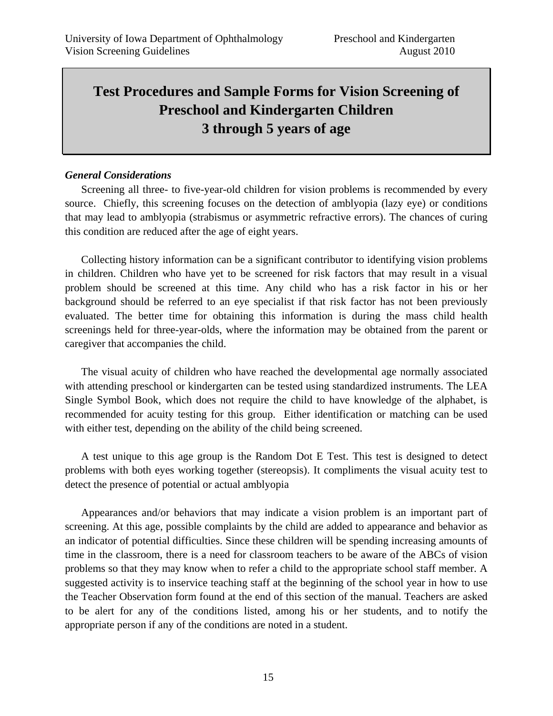# **Test Procedures and Sample Forms for Vision Screening of Preschool and Kindergarten Children 3 through 5 years of age**

#### *General Considerations*

 Screening all three- to five-year-old children for vision problems is recommended by every source. Chiefly, this screening focuses on the detection of amblyopia (lazy eye) or conditions that may lead to amblyopia (strabismus or asymmetric refractive errors). The chances of curing this condition are reduced after the age of eight years.

Collecting history information can be a significant contributor to identifying vision problems in children. Children who have yet to be screened for risk factors that may result in a visual problem should be screened at this time. Any child who has a risk factor in his or her background should be referred to an eye specialist if that risk factor has not been previously evaluated. The better time for obtaining this information is during the mass child health screenings held for three-year-olds, where the information may be obtained from the parent or caregiver that accompanies the child.

 The visual acuity of children who have reached the developmental age normally associated with attending preschool or kindergarten can be tested using standardized instruments. The LEA Single Symbol Book, which does not require the child to have knowledge of the alphabet, is recommended for acuity testing for this group. Either identification or matching can be used with either test, depending on the ability of the child being screened.

 A test unique to this age group is the Random Dot E Test. This test is designed to detect problems with both eyes working together (stereopsis). It compliments the visual acuity test to detect the presence of potential or actual amblyopia

 Appearances and/or behaviors that may indicate a vision problem is an important part of screening. At this age, possible complaints by the child are added to appearance and behavior as an indicator of potential difficulties. Since these children will be spending increasing amounts of time in the classroom, there is a need for classroom teachers to be aware of the ABCs of vision problems so that they may know when to refer a child to the appropriate school staff member. A suggested activity is to inservice teaching staff at the beginning of the school year in how to use the Teacher Observation form found at the end of this section of the manual. Teachers are asked to be alert for any of the conditions listed, among his or her students, and to notify the appropriate person if any of the conditions are noted in a student.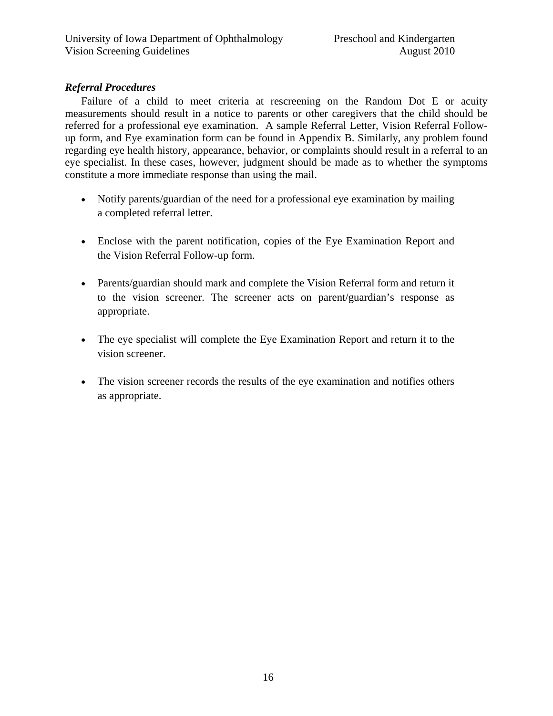# *Referral Procedures*

Failure of a child to meet criteria at rescreening on the Random Dot E or acuity measurements should result in a notice to parents or other caregivers that the child should be referred for a professional eye examination. A sample Referral Letter, Vision Referral Followup form, and Eye examination form can be found in Appendix B. Similarly, any problem found regarding eye health history, appearance, behavior, or complaints should result in a referral to an eye specialist. In these cases, however, judgment should be made as to whether the symptoms constitute a more immediate response than using the mail.

- Notify parents/guardian of the need for a professional eye examination by mailing a completed referral letter.
- Enclose with the parent notification, copies of the Eye Examination Report and the Vision Referral Follow-up form.
- Parents/guardian should mark and complete the Vision Referral form and return it to the vision screener. The screener acts on parent/guardian's response as appropriate.
- The eye specialist will complete the Eye Examination Report and return it to the vision screener.
- The vision screener records the results of the eye examination and notifies others as appropriate.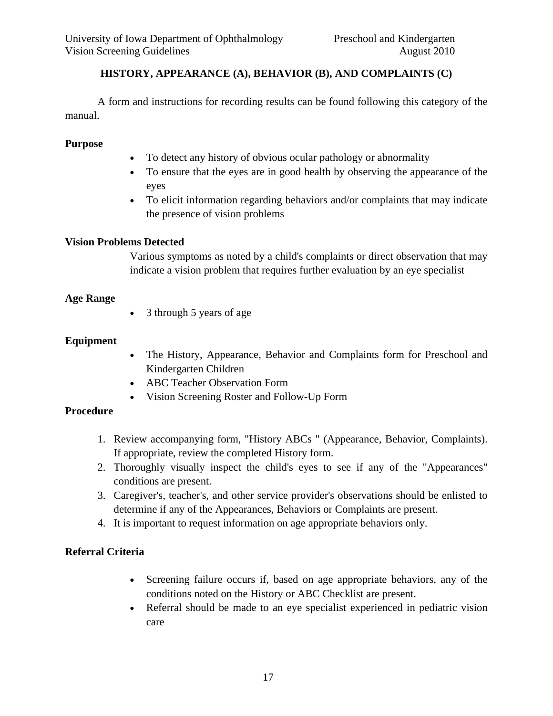# **HISTORY, APPEARANCE (A), BEHAVIOR (B), AND COMPLAINTS (C)**

 A form and instructions for recording results can be found following this category of the manual.

### **Purpose**

- To detect any history of obvious ocular pathology or abnormality
- To ensure that the eyes are in good health by observing the appearance of the eyes
- To elicit information regarding behaviors and/or complaints that may indicate the presence of vision problems

### **Vision Problems Detected**

Various symptoms as noted by a child's complaints or direct observation that may indicate a vision problem that requires further evaluation by an eye specialist

### **Age Range**

• 3 through 5 years of age

### **Equipment**

- The History, Appearance, Behavior and Complaints form for Preschool and Kindergarten Children
- ABC Teacher Observation Form
- Vision Screening Roster and Follow-Up Form

# **Procedure**

- 1. Review accompanying form, "History ABCs " (Appearance, Behavior, Complaints). If appropriate, review the completed History form.
- 2. Thoroughly visually inspect the child's eyes to see if any of the "Appearances" conditions are present.
- 3. Caregiver's, teacher's, and other service provider's observations should be enlisted to determine if any of the Appearances, Behaviors or Complaints are present.
- 4. It is important to request information on age appropriate behaviors only.

# **Referral Criteria**

- Screening failure occurs if, based on age appropriate behaviors, any of the conditions noted on the History or ABC Checklist are present.
- Referral should be made to an eye specialist experienced in pediatric vision care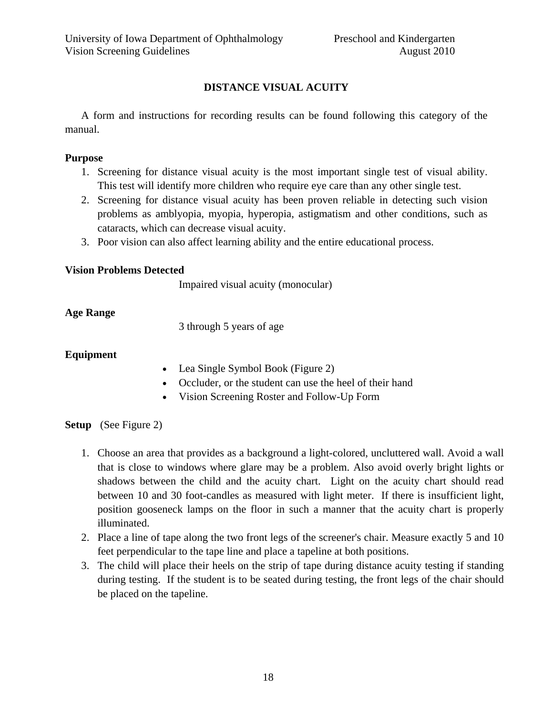# **DISTANCE VISUAL ACUITY**

 A form and instructions for recording results can be found following this category of the manual.

## **Purpose**

- 1. Screening for distance visual acuity is the most important single test of visual ability. This test will identify more children who require eye care than any other single test.
- 2. Screening for distance visual acuity has been proven reliable in detecting such vision problems as amblyopia, myopia, hyperopia, astigmatism and other conditions, such as cataracts, which can decrease visual acuity.
- 3. Poor vision can also affect learning ability and the entire educational process.

### **Vision Problems Detected**

Impaired visual acuity (monocular)

# **Age Range**

3 through 5 years of age

# **Equipment**

- Lea Single Symbol Book (Figure 2)
- Occluder, or the student can use the heel of their hand
- Vision Screening Roster and Follow-Up Form

# **Setup** (See Figure 2)

- 1. Choose an area that provides as a background a light-colored, uncluttered wall. Avoid a wall that is close to windows where glare may be a problem. Also avoid overly bright lights or shadows between the child and the acuity chart. Light on the acuity chart should read between 10 and 30 foot-candles as measured with light meter. If there is insufficient light, position gooseneck lamps on the floor in such a manner that the acuity chart is properly illuminated.
- 2. Place a line of tape along the two front legs of the screener's chair. Measure exactly 5 and 10 feet perpendicular to the tape line and place a tapeline at both positions.
- 3. The child will place their heels on the strip of tape during distance acuity testing if standing during testing. If the student is to be seated during testing, the front legs of the chair should be placed on the tapeline.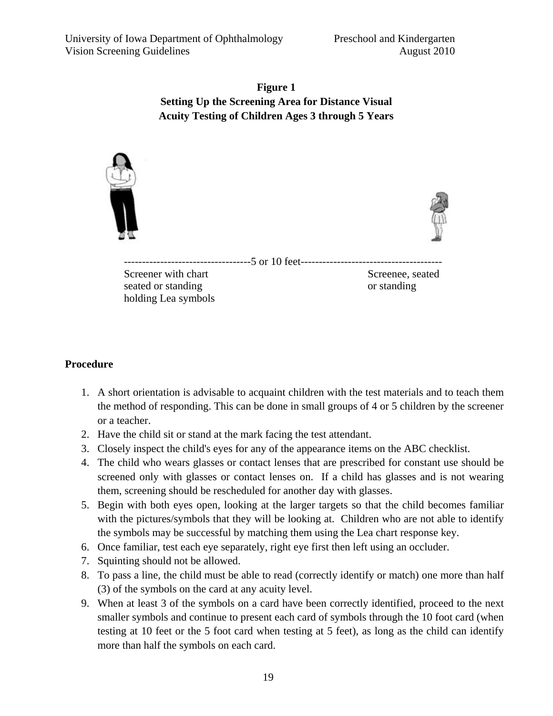**Figure 1 Setting Up the Screening Area for Distance Visual Acuity Testing of Children Ages 3 through 5 Years**



# **Procedure**

- 1. A short orientation is advisable to acquaint children with the test materials and to teach them the method of responding. This can be done in small groups of 4 or 5 children by the screener or a teacher.
- 2. Have the child sit or stand at the mark facing the test attendant.
- 3. Closely inspect the child's eyes for any of the appearance items on the ABC checklist.
- 4. The child who wears glasses or contact lenses that are prescribed for constant use should be screened only with glasses or contact lenses on. If a child has glasses and is not wearing them, screening should be rescheduled for another day with glasses.
- 5. Begin with both eyes open, looking at the larger targets so that the child becomes familiar with the pictures/symbols that they will be looking at. Children who are not able to identify the symbols may be successful by matching them using the Lea chart response key.
- 6. Once familiar, test each eye separately, right eye first then left using an occluder.
- 7. Squinting should not be allowed.
- 8. To pass a line, the child must be able to read (correctly identify or match) one more than half (3) of the symbols on the card at any acuity level.
- 9. When at least 3 of the symbols on a card have been correctly identified, proceed to the next smaller symbols and continue to present each card of symbols through the 10 foot card (when testing at 10 feet or the 5 foot card when testing at 5 feet), as long as the child can identify more than half the symbols on each card.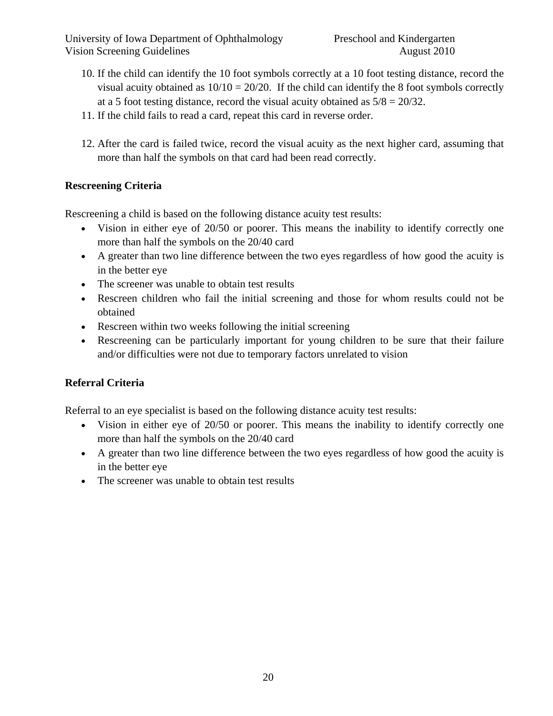- 10. If the child can identify the 10 foot symbols correctly at a 10 foot testing distance, record the visual acuity obtained as  $10/10 = 20/20$ . If the child can identify the 8 foot symbols correctly at a 5 foot testing distance, record the visual acuity obtained as  $5/8 = 20/32$ .
- 11. If the child fails to read a card, repeat this card in reverse order.
- 12. After the card is failed twice, record the visual acuity as the next higher card, assuming that more than half the symbols on that card had been read correctly.

# **Rescreening Criteria**

Rescreening a child is based on the following distance acuity test results:

- Vision in either eye of 20/50 or poorer. This means the inability to identify correctly one more than half the symbols on the 20/40 card
- A greater than two line difference between the two eyes regardless of how good the acuity is in the better eye
- The screener was unable to obtain test results
- Rescreen children who fail the initial screening and those for whom results could not be obtained
- Rescreen within two weeks following the initial screening
- Rescreening can be particularly important for young children to be sure that their failure and/or difficulties were not due to temporary factors unrelated to vision

# **Referral Criteria**

Referral to an eye specialist is based on the following distance acuity test results:

- Vision in either eye of 20/50 or poorer. This means the inability to identify correctly one more than half the symbols on the 20/40 card
- A greater than two line difference between the two eyes regardless of how good the acuity is in the better eye
- The screener was unable to obtain test results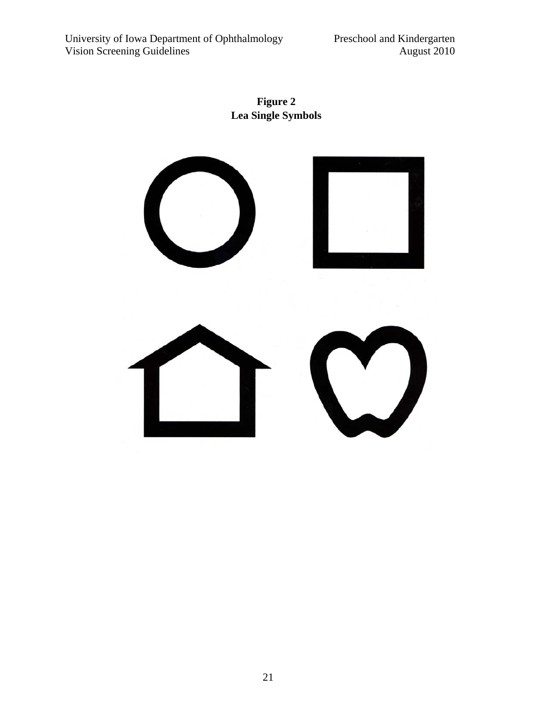**Figure 2 Lea Single Symbols** 

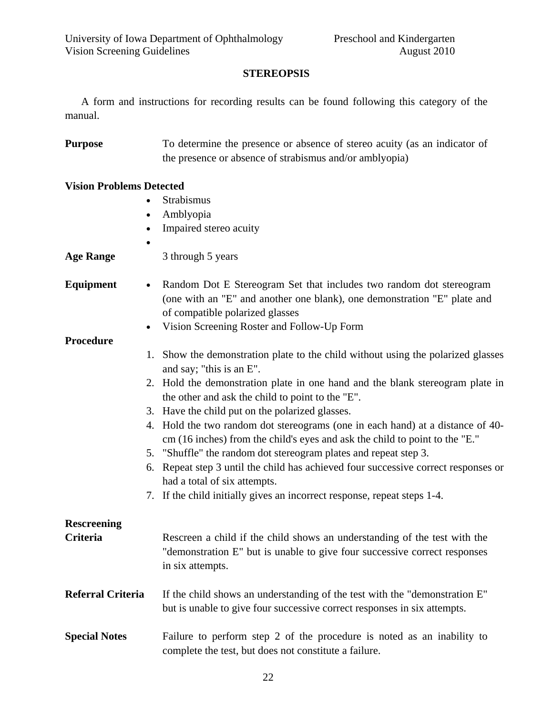# **STEREOPSIS**

 A form and instructions for recording results can be found following this category of the manual.

| <b>Purpose</b> | To determine the presence or absence of stereo acuity (as an indicator of |
|----------------|---------------------------------------------------------------------------|
|                | the presence or absence of strabismus and/or amblyopia)                   |

# **Vision Problems Detected**

| $\bullet$                | Strabismus                                                                                                                        |
|--------------------------|-----------------------------------------------------------------------------------------------------------------------------------|
|                          | Amblyopia                                                                                                                         |
| $\bullet$                | Impaired stereo acuity                                                                                                            |
|                          |                                                                                                                                   |
| <b>Age Range</b>         | 3 through 5 years                                                                                                                 |
| Equipment                | Random Dot E Stereogram Set that includes two random dot stereogram                                                               |
|                          | (one with an "E" and another one blank), one demonstration "E" plate and<br>of compatible polarized glasses                       |
| $\bullet$                | Vision Screening Roster and Follow-Up Form                                                                                        |
| <b>Procedure</b>         |                                                                                                                                   |
|                          | 1. Show the demonstration plate to the child without using the polarized glasses                                                  |
|                          | and say; "this is an E".                                                                                                          |
|                          | 2. Hold the demonstration plate in one hand and the blank stereogram plate in<br>the other and ask the child to point to the "E". |
|                          | 3. Have the child put on the polarized glasses.                                                                                   |
|                          | 4. Hold the two random dot stereograms (one in each hand) at a distance of 40-                                                    |
|                          | cm (16 inches) from the child's eyes and ask the child to point to the "E."                                                       |
|                          | 5. "Shuffle" the random dot stereogram plates and repeat step 3.                                                                  |
|                          | 6. Repeat step 3 until the child has achieved four successive correct responses or<br>had a total of six attempts.                |
|                          | 7. If the child initially gives an incorrect response, repeat steps 1-4.                                                          |
| <b>Rescreening</b>       |                                                                                                                                   |
| <b>Criteria</b>          | Rescreen a child if the child shows an understanding of the test with the                                                         |
|                          | "demonstration E" but is unable to give four successive correct responses<br>in six attempts.                                     |
| <b>Referral Criteria</b> | If the child shows an understanding of the test with the "demonstration E"                                                        |
|                          | but is unable to give four successive correct responses in six attempts.                                                          |
| <b>Special Notes</b>     | Failure to perform step 2 of the procedure is noted as an inability to<br>complete the test, but does not constitute a failure.   |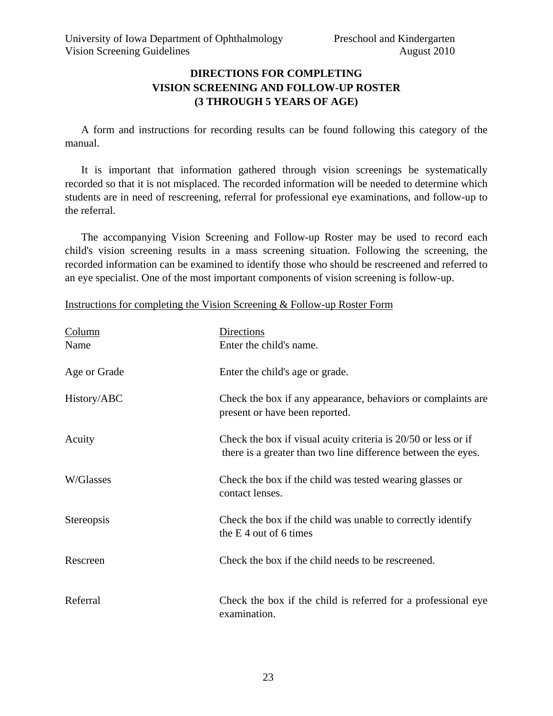# **DIRECTIONS FOR COMPLETING VISION SCREENING AND FOLLOW-UP ROSTER (3 THROUGH 5 YEARS OF AGE)**

 A form and instructions for recording results can be found following this category of the manual.

 It is important that information gathered through vision screenings be systematically recorded so that it is not misplaced. The recorded information will be needed to determine which students are in need of rescreening, referral for professional eye examinations, and follow-up to the referral.

 The accompanying Vision Screening and Follow-up Roster may be used to record each child's vision screening results in a mass screening situation. Following the screening, the recorded information can be examined to identify those who should be rescreened and referred to an eye specialist. One of the most important components of vision screening is follow-up.

| Instructions for completing the Vision Screening & Follow-up Roster Form |  |  |
|--------------------------------------------------------------------------|--|--|
|                                                                          |  |  |

| Column<br>Name | Directions<br>Enter the child's name.                                                                                           |
|----------------|---------------------------------------------------------------------------------------------------------------------------------|
| Age or Grade   | Enter the child's age or grade.                                                                                                 |
| History/ABC    | Check the box if any appearance, behaviors or complaints are<br>present or have been reported.                                  |
| Acuity         | Check the box if visual acuity criteria is 20/50 or less or if<br>there is a greater than two line difference between the eyes. |
| W/Glasses      | Check the box if the child was tested wearing glasses or<br>contact lenses.                                                     |
| Stereopsis     | Check the box if the child was unable to correctly identify<br>the $E_4$ out of 6 times                                         |
| Rescreen       | Check the box if the child needs to be rescreened.                                                                              |
| Referral       | Check the box if the child is referred for a professional eye<br>examination.                                                   |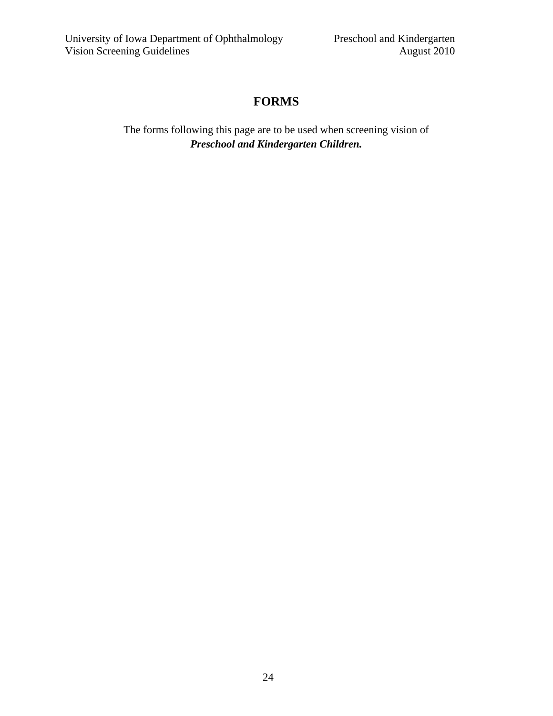# **FORMS**

The forms following this page are to be used when screening vision of *Preschool and Kindergarten Children.*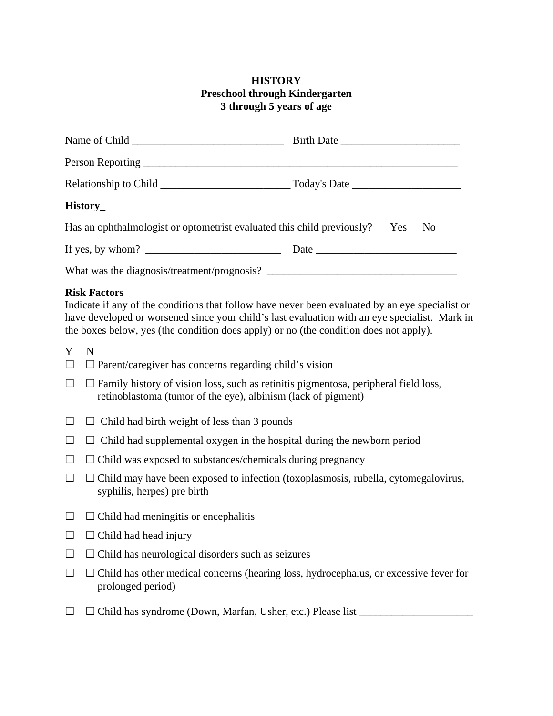## **HISTORY Preschool through Kindergarten 3 through 5 years of age**

| <b>History</b>                                                                |      |  |
|-------------------------------------------------------------------------------|------|--|
| Has an ophthalmologist or optometrist evaluated this child previously? Yes No |      |  |
| If yes, by whom? $\qquad \qquad$                                              | Date |  |
|                                                                               |      |  |

### **Risk Factors**

Indicate if any of the conditions that follow have never been evaluated by an eye specialist or have developed or worsened since your child's last evaluation with an eye specialist. Mark in the boxes below, yes (the condition does apply) or no (the condition does not apply).

Y N

- $\Box$   $\Box$  Parent/caregiver has concerns regarding child's vision
- $\Box$   $\Box$  Family history of vision loss, such as retinitis pigmentosa, peripheral field loss, retinoblastoma (tumor of the eye), albinism (lack of pigment)
- $\Box$   $\Box$  Child had birth weight of less than 3 pounds
- $\Box$   $\Box$  Child had supplemental oxygen in the hospital during the newborn period
- $\Box$   $\Box$  Child was exposed to substances/chemicals during pregnancy
- $\Box$   $\Box$  Child may have been exposed to infection (toxoplasmosis, rubella, cytomegalovirus, syphilis, herpes) pre birth
- $\Box$   $\Box$  Child had meningitis or encephalitis
- $\Box$   $\Box$  Child had head injury
- $\Box$   $\Box$  Child has neurological disorders such as seizures
- $\Box$   $\Box$  Child has other medical concerns (hearing loss, hydrocephalus, or excessive fever for prolonged period)
- Child has syndrome (Down, Marfan, Usher, etc.) Please list \_\_\_\_\_\_\_\_\_\_\_\_\_\_\_\_\_\_\_\_\_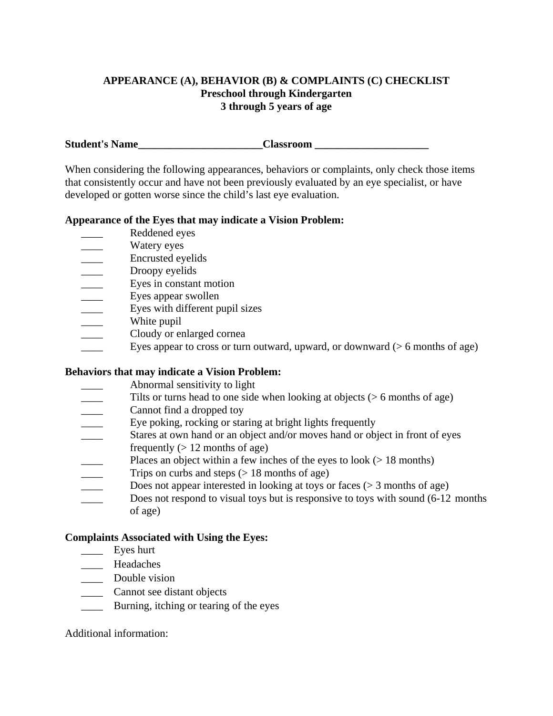## **APPEARANCE (A), BEHAVIOR (B) & COMPLAINTS (C) CHECKLIST Preschool through Kindergarten 3 through 5 years of age**

**Student's Name\_\_\_\_\_\_\_\_\_\_\_\_\_\_\_\_\_\_\_\_\_\_\_Classroom \_\_\_\_\_\_\_\_\_\_\_\_\_\_\_\_\_\_\_\_\_** 

When considering the following appearances, behaviors or complaints, only check those items that consistently occur and have not been previously evaluated by an eye specialist, or have developed or gotten worse since the child's last eye evaluation.

### **Appearance of the Eyes that may indicate a Vision Problem:**

- Reddened eyes
- Watery eyes
- \_\_\_\_ Encrusted eyelids
- Droopy eyelids
- \_\_\_\_ Eyes in constant motion
- **Eyes appear swollen**
- **Eyes with different pupil sizes**
- White pupil
- Cloudy or enlarged cornea
- Eyes appear to cross or turn outward, upward, or downward  $(> 6$  months of age)

# **Behaviors that may indicate a Vision Problem:**

- \_\_\_\_ Abnormal sensitivity to light
- Tilts or turns head to one side when looking at objects ( $> 6$  months of age)
- **Example 1** Cannot find a dropped toy
- **Eye poking, rocking or staring at bright lights frequently**
- \_\_\_\_ Stares at own hand or an object and/or moves hand or object in front of eyes
- frequently  $(> 12$  months of age)
- Places an object within a few inches of the eyes to look ( $> 18$  months)
- Trips on curbs and steps  $(> 18$  months of age)
- Does not appear interested in looking at toys or faces ( $> 3$  months of age)
- Does not respond to visual toys but is responsive to toys with sound (6-12 months of age)

# **Complaints Associated with Using the Eyes:**

- \_\_\_\_ Eyes hurt
- \_\_\_\_ Headaches
- \_\_\_\_ Double vision
- \_\_\_\_ Cannot see distant objects
- **EXECUTE:** Burning, itching or tearing of the eyes

# Additional information: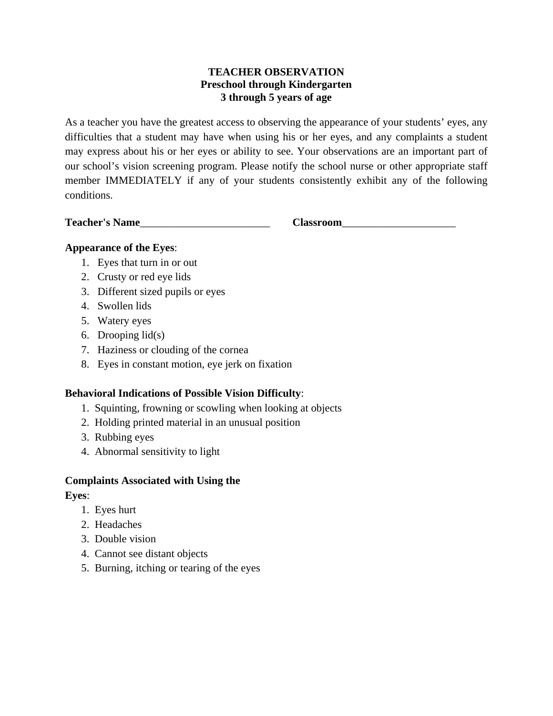# **TEACHER OBSERVATION Preschool through Kindergarten 3 through 5 years of age**

As a teacher you have the greatest access to observing the appearance of your students' eyes, any difficulties that a student may have when using his or her eyes, and any complaints a student may express about his or her eyes or ability to see. Your observations are an important part of our school's vision screening program. Please notify the school nurse or other appropriate staff member IMMEDIATELY if any of your students consistently exhibit any of the following conditions.

**Teacher's Name**\_\_\_\_\_\_\_\_\_\_\_\_\_\_\_\_\_\_\_\_\_\_\_\_ **Classroom**\_\_\_\_\_\_\_\_\_\_\_\_\_\_\_\_\_\_\_\_\_

# **Appearance of the Eyes**:

- 1. Eyes that turn in or out
- 2. Crusty or red eye lids
- 3. Different sized pupils or eyes
- 4. Swollen lids
- 5. Watery eyes
- 6. Drooping lid(s)
- 7. Haziness or clouding of the cornea
- 8. Eyes in constant motion, eye jerk on fixation

# **Behavioral Indications of Possible Vision Difficulty**:

- 1. Squinting, frowning or scowling when looking at objects
- 2. Holding printed material in an unusual position
- 3. Rubbing eyes
- 4. Abnormal sensitivity to light

# **Complaints Associated with Using the**

**Eyes**:

- 1. Eyes hurt
- 2. Headaches
- 3. Double vision
- 4. Cannot see distant objects
- 5. Burning, itching or tearing of the eyes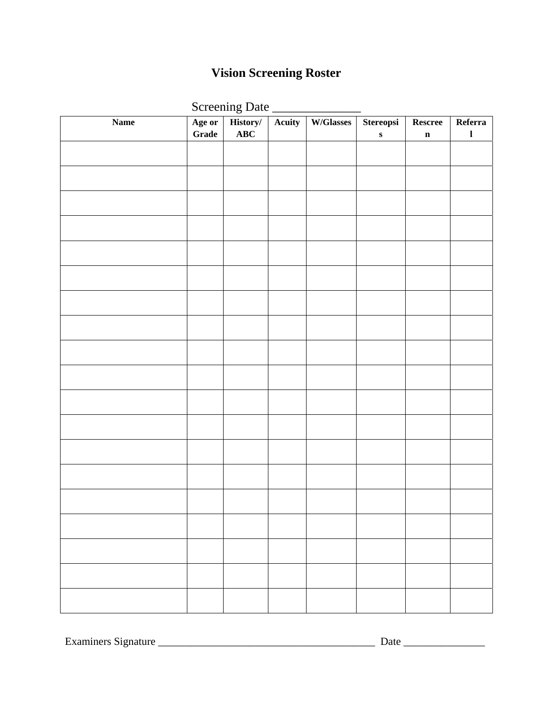# **Vision Screening Roster**

|  | <b>Screening Date</b> |
|--|-----------------------|
|  |                       |

|                 |        | Screening Date |        |           |           |             |              |
|-----------------|--------|----------------|--------|-----------|-----------|-------------|--------------|
| $\mathbf{Name}$ | Age or | History/       | Acuity | W/Glasses | Stereopsi | Rescree     | Referra      |
|                 | Grade  | ABC            |        |           | ${\bf S}$ | $\mathbf n$ | $\mathbf{l}$ |
|                 |        |                |        |           |           |             |              |
|                 |        |                |        |           |           |             |              |
|                 |        |                |        |           |           |             |              |
|                 |        |                |        |           |           |             |              |
|                 |        |                |        |           |           |             |              |
|                 |        |                |        |           |           |             |              |
|                 |        |                |        |           |           |             |              |
|                 |        |                |        |           |           |             |              |
|                 |        |                |        |           |           |             |              |
|                 |        |                |        |           |           |             |              |
|                 |        |                |        |           |           |             |              |
|                 |        |                |        |           |           |             |              |
|                 |        |                |        |           |           |             |              |
|                 |        |                |        |           |           |             |              |
|                 |        |                |        |           |           |             |              |
|                 |        |                |        |           |           |             |              |
|                 |        |                |        |           |           |             |              |
|                 |        |                |        |           |           |             |              |
|                 |        |                |        |           |           |             |              |
|                 |        |                |        |           |           |             |              |
|                 |        |                |        |           |           |             |              |
|                 |        |                |        |           |           |             |              |
|                 |        |                |        |           |           |             |              |
|                 |        |                |        |           |           |             |              |
|                 |        |                |        |           |           |             |              |
|                 |        |                |        |           |           |             |              |
|                 |        |                |        |           |           |             |              |
|                 |        |                |        |           |           |             |              |
|                 |        |                |        |           |           |             |              |
|                 |        |                |        |           |           |             |              |
|                 |        |                |        |           |           |             |              |
|                 |        |                |        |           |           |             |              |
|                 |        |                |        |           |           |             |              |
|                 |        |                |        |           |           |             |              |
|                 |        |                |        |           |           |             |              |
|                 |        |                |        |           |           |             |              |

Examiners Signature \_\_\_\_\_\_\_\_\_\_\_\_\_\_\_\_\_\_\_\_\_\_\_\_\_\_\_\_\_\_\_\_\_\_\_\_\_\_\_\_ Date \_\_\_\_\_\_\_\_\_\_\_\_\_\_\_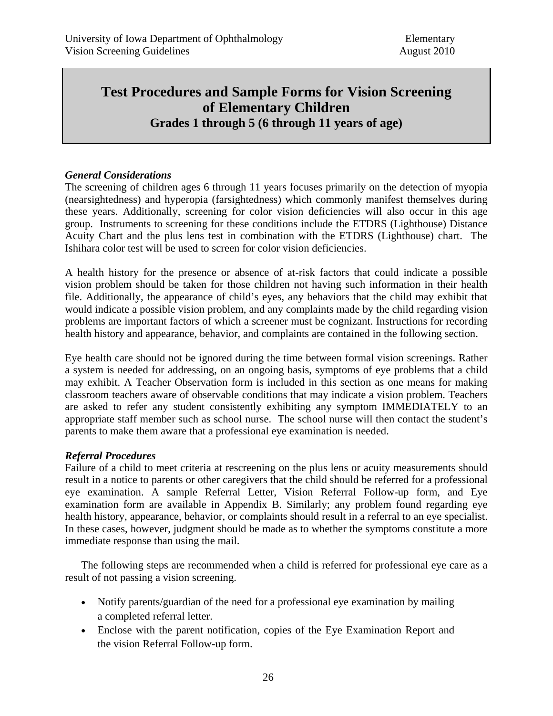# **Test Procedures and Sample Forms for Vision Screening of Elementary Children Grades 1 through 5 (6 through 11 years of age)**

## *General Considerations*

The screening of children ages 6 through 11 years focuses primarily on the detection of myopia (nearsightedness) and hyperopia (farsightedness) which commonly manifest themselves during these years. Additionally, screening for color vision deficiencies will also occur in this age group. Instruments to screening for these conditions include the ETDRS (Lighthouse) Distance Acuity Chart and the plus lens test in combination with the ETDRS (Lighthouse) chart. The Ishihara color test will be used to screen for color vision deficiencies.

A health history for the presence or absence of at-risk factors that could indicate a possible vision problem should be taken for those children not having such information in their health file. Additionally, the appearance of child's eyes, any behaviors that the child may exhibit that would indicate a possible vision problem, and any complaints made by the child regarding vision problems are important factors of which a screener must be cognizant. Instructions for recording health history and appearance, behavior, and complaints are contained in the following section.

Eye health care should not be ignored during the time between formal vision screenings. Rather a system is needed for addressing, on an ongoing basis, symptoms of eye problems that a child may exhibit. A Teacher Observation form is included in this section as one means for making classroom teachers aware of observable conditions that may indicate a vision problem. Teachers are asked to refer any student consistently exhibiting any symptom IMMEDIATELY to an appropriate staff member such as school nurse. The school nurse will then contact the student's parents to make them aware that a professional eye examination is needed.

#### *Referral Procedures*

Failure of a child to meet criteria at rescreening on the plus lens or acuity measurements should result in a notice to parents or other caregivers that the child should be referred for a professional eye examination. A sample Referral Letter, Vision Referral Follow-up form, and Eye examination form are available in Appendix B. Similarly; any problem found regarding eye health history, appearance, behavior, or complaints should result in a referral to an eye specialist. In these cases, however, judgment should be made as to whether the symptoms constitute a more immediate response than using the mail.

The following steps are recommended when a child is referred for professional eye care as a result of not passing a vision screening.

- Notify parents/guardian of the need for a professional eye examination by mailing a completed referral letter.
- Enclose with the parent notification, copies of the Eye Examination Report and the vision Referral Follow-up form.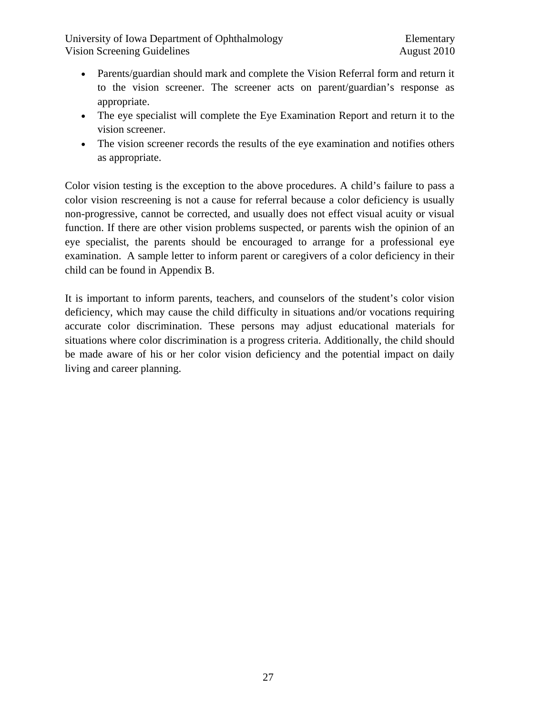University of Iowa Department of Ophthalmology Elementary Vision Screening Guidelines and the Contract of the August 2010

- Parents/guardian should mark and complete the Vision Referral form and return it to the vision screener. The screener acts on parent/guardian's response as appropriate.
- The eye specialist will complete the Eye Examination Report and return it to the vision screener.
- The vision screener records the results of the eye examination and notifies others as appropriate.

Color vision testing is the exception to the above procedures. A child's failure to pass a color vision rescreening is not a cause for referral because a color deficiency is usually non-progressive, cannot be corrected, and usually does not effect visual acuity or visual function. If there are other vision problems suspected, or parents wish the opinion of an eye specialist, the parents should be encouraged to arrange for a professional eye examination. A sample letter to inform parent or caregivers of a color deficiency in their child can be found in Appendix B.

It is important to inform parents, teachers, and counselors of the student's color vision deficiency, which may cause the child difficulty in situations and/or vocations requiring accurate color discrimination. These persons may adjust educational materials for situations where color discrimination is a progress criteria. Additionally, the child should be made aware of his or her color vision deficiency and the potential impact on daily living and career planning.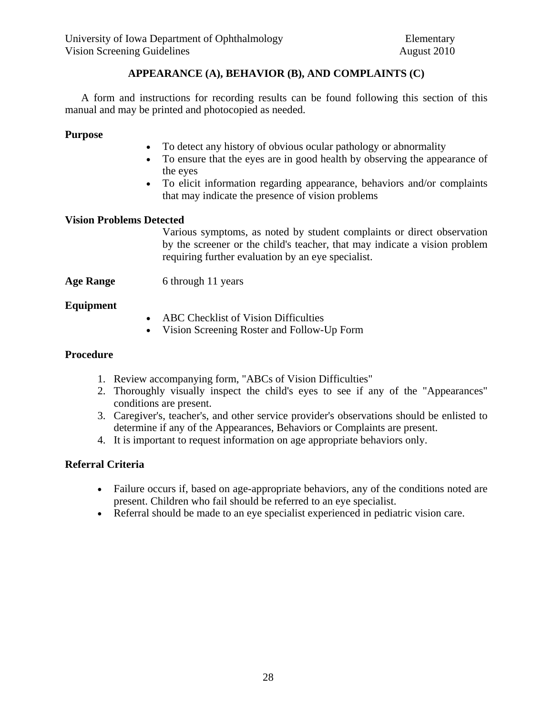# **APPEARANCE (A), BEHAVIOR (B), AND COMPLAINTS (C)**

 A form and instructions for recording results can be found following this section of this manual and may be printed and photocopied as needed.

#### **Purpose**

- To detect any history of obvious ocular pathology or abnormality
- To ensure that the eyes are in good health by observing the appearance of the eyes
- To elicit information regarding appearance, behaviors and/or complaints that may indicate the presence of vision problems

#### **Vision Problems Detected**

 Various symptoms, as noted by student complaints or direct observation by the screener or the child's teacher, that may indicate a vision problem requiring further evaluation by an eye specialist.

**Age Range** 6 through 11 years

#### **Equipment**

- ABC Checklist of Vision Difficulties
- Vision Screening Roster and Follow-Up Form

#### **Procedure**

- 1. Review accompanying form, "ABCs of Vision Difficulties"
- 2. Thoroughly visually inspect the child's eyes to see if any of the "Appearances" conditions are present.
- 3. Caregiver's, teacher's, and other service provider's observations should be enlisted to determine if any of the Appearances, Behaviors or Complaints are present.
- 4. It is important to request information on age appropriate behaviors only.

#### **Referral Criteria**

- Failure occurs if, based on age-appropriate behaviors, any of the conditions noted are present. Children who fail should be referred to an eye specialist.
- Referral should be made to an eye specialist experienced in pediatric vision care.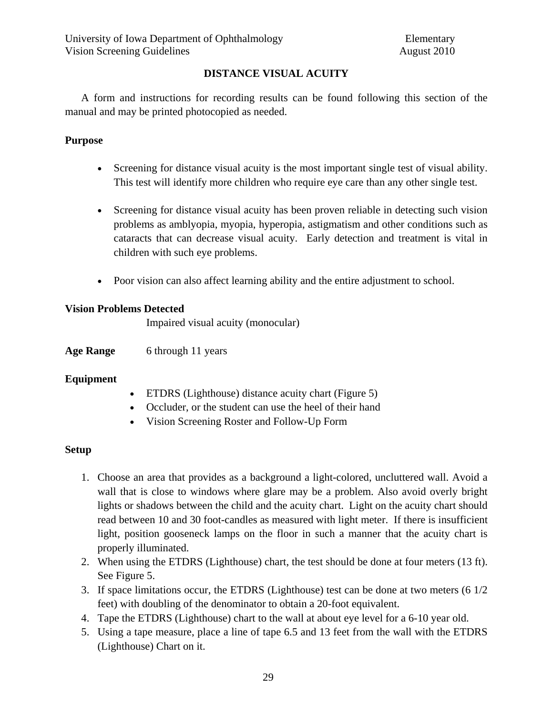# **DISTANCE VISUAL ACUITY**

 A form and instructions for recording results can be found following this section of the manual and may be printed photocopied as needed.

### **Purpose**

- Screening for distance visual acuity is the most important single test of visual ability. This test will identify more children who require eye care than any other single test.
- Screening for distance visual acuity has been proven reliable in detecting such vision problems as amblyopia, myopia, hyperopia, astigmatism and other conditions such as cataracts that can decrease visual acuity. Early detection and treatment is vital in children with such eye problems.
- Poor vision can also affect learning ability and the entire adjustment to school.

# **Vision Problems Detected**

Impaired visual acuity (monocular)

**Age Range** 6 through 11 years

# **Equipment**

- ETDRS (Lighthouse) distance acuity chart (Figure 5)
- Occluder, or the student can use the heel of their hand
- Vision Screening Roster and Follow-Up Form

# **Setup**

- 1. Choose an area that provides as a background a light-colored, uncluttered wall. Avoid a wall that is close to windows where glare may be a problem. Also avoid overly bright lights or shadows between the child and the acuity chart. Light on the acuity chart should read between 10 and 30 foot-candles as measured with light meter. If there is insufficient light, position gooseneck lamps on the floor in such a manner that the acuity chart is properly illuminated.
- 2. When using the ETDRS (Lighthouse) chart, the test should be done at four meters (13 ft). See Figure 5.
- 3. If space limitations occur, the ETDRS (Lighthouse) test can be done at two meters (6 1/2 feet) with doubling of the denominator to obtain a 20-foot equivalent.
- 4. Tape the ETDRS (Lighthouse) chart to the wall at about eye level for a 6-10 year old.
- 5. Using a tape measure, place a line of tape 6.5 and 13 feet from the wall with the ETDRS (Lighthouse) Chart on it.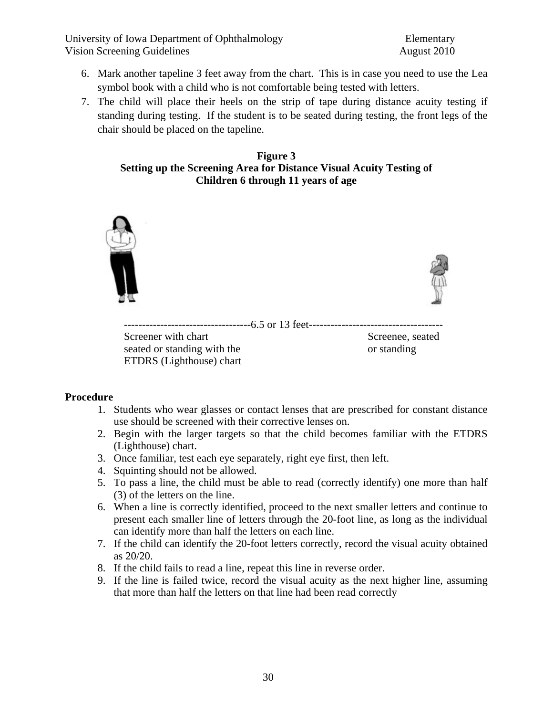University of Iowa Department of Ophthalmology Elementary Vision Screening Guidelines August 2010

- 6. Mark another tapeline 3 feet away from the chart. This is in case you need to use the Lea symbol book with a child who is not comfortable being tested with letters.
- 7. The child will place their heels on the strip of tape during distance acuity testing if standing during testing. If the student is to be seated during testing, the front legs of the chair should be placed on the tapeline.

#### **Figure 3 Setting up the Screening Area for Distance Visual Acuity Testing of Children 6 through 11 years of age**



#### **Procedure**

- 1. Students who wear glasses or contact lenses that are prescribed for constant distance use should be screened with their corrective lenses on.
- 2. Begin with the larger targets so that the child becomes familiar with the ETDRS (Lighthouse) chart.
- 3. Once familiar, test each eye separately, right eye first, then left.
- 4. Squinting should not be allowed.
- 5. To pass a line, the child must be able to read (correctly identify) one more than half (3) of the letters on the line.
- 6. When a line is correctly identified, proceed to the next smaller letters and continue to present each smaller line of letters through the 20-foot line, as long as the individual can identify more than half the letters on each line.
- 7. If the child can identify the 20-foot letters correctly, record the visual acuity obtained as 20/20.
- 8. If the child fails to read a line, repeat this line in reverse order.
- 9. If the line is failed twice, record the visual acuity as the next higher line, assuming that more than half the letters on that line had been read correctly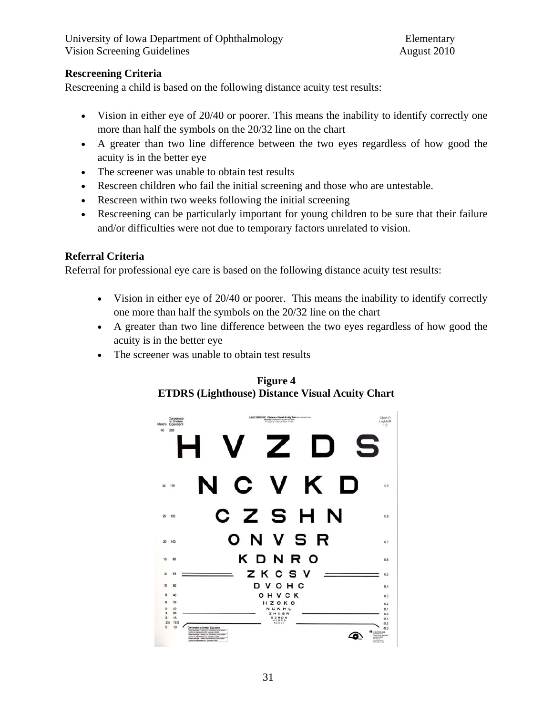# **Rescreening Criteria**

Rescreening a child is based on the following distance acuity test results:

- Vision in either eye of 20/40 or poorer. This means the inability to identify correctly one more than half the symbols on the 20/32 line on the chart
- A greater than two line difference between the two eyes regardless of how good the acuity is in the better eye
- The screener was unable to obtain test results
- Rescreen children who fail the initial screening and those who are untestable.
- Rescreen within two weeks following the initial screening
- Rescreening can be particularly important for young children to be sure that their failure and/or difficulties were not due to temporary factors unrelated to vision.

# **Referral Criteria**

Referral for professional eye care is based on the following distance acuity test results:

- Vision in either eye of 20/40 or poorer. This means the inability to identify correctly one more than half the symbols on the 20/32 line on the chart
- A greater than two line difference between the two eyes regardless of how good the acuity is in the better eye
- The screener was unable to obtain test results



**Figure 4 ETDRS (Lighthouse) Distance Visual Acuity Chart**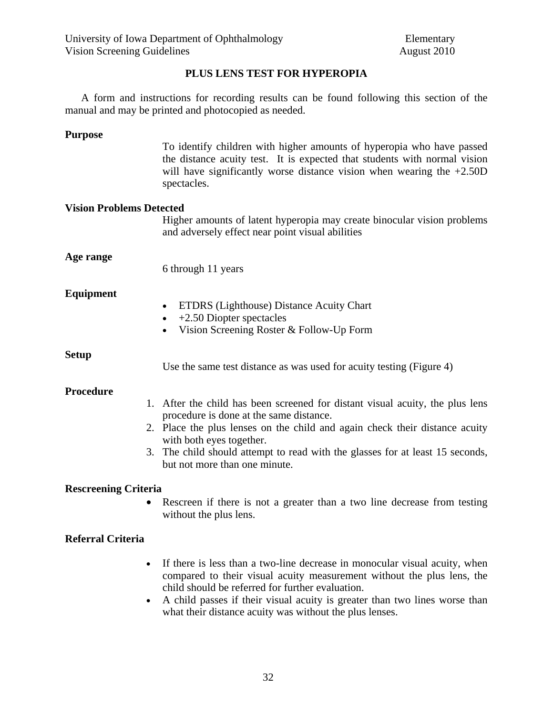#### **PLUS LENS TEST FOR HYPEROPIA**

 A form and instructions for recording results can be found following this section of the manual and may be printed and photocopied as needed.

#### **Purpose**

To identify children with higher amounts of hyperopia who have passed the distance acuity test. It is expected that students with normal vision will have significantly worse distance vision when wearing the  $+2.50D$ spectacles.

#### **Vision Problems Detected**

Higher amounts of latent hyperopia may create binocular vision problems and adversely effect near point visual abilities

#### **Age range**

6 through 11 years

#### **Equipment**

- ETDRS (Lighthouse) Distance Acuity Chart
- +2.50 Diopter spectacles
- Vision Screening Roster & Follow-Up Form

**Setup** 

Use the same test distance as was used for acuity testing (Figure 4)

#### **Procedure**

- 1. After the child has been screened for distant visual acuity, the plus lens procedure is done at the same distance.
- 2. Place the plus lenses on the child and again check their distance acuity with both eyes together.
- 3. The child should attempt to read with the glasses for at least 15 seconds, but not more than one minute.

#### **Rescreening Criteria**

Rescreen if there is not a greater than a two line decrease from testing without the plus lens.

#### **Referral Criteria**

- If there is less than a two-line decrease in monocular visual acuity, when compared to their visual acuity measurement without the plus lens, the child should be referred for further evaluation.
- A child passes if their visual acuity is greater than two lines worse than what their distance acuity was without the plus lenses.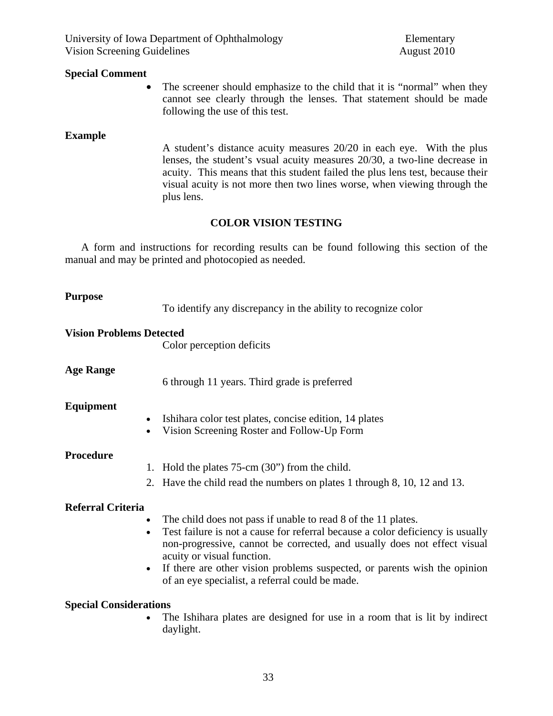University of Iowa Department of Ophthalmology Elementary Vision Screening Guidelines August 2010

#### **Special Comment**

The screener should emphasize to the child that it is "normal" when they cannot see clearly through the lenses. That statement should be made following the use of this test.

#### **Example**

 A student's distance acuity measures 20/20 in each eye. With the plus lenses, the student's vsual acuity measures 20/30, a two-line decrease in acuity. This means that this student failed the plus lens test, because their visual acuity is not more then two lines worse, when viewing through the plus lens.

#### **COLOR VISION TESTING**

 A form and instructions for recording results can be found following this section of the manual and may be printed and photocopied as needed.

#### **Purpose**

To identify any discrepancy in the ability to recognize color

#### **Vision Problems Detected**

Color perception deficits

#### **Age Range**

6 through 11 years. Third grade is preferred

#### **Equipment**

- Ishihara color test plates, concise edition, 14 plates
- Vision Screening Roster and Follow-Up Form

#### **Procedure**

- 1. Hold the plates 75-cm (30") from the child.
- 2. Have the child read the numbers on plates 1 through 8, 10, 12 and 13.

#### **Referral Criteria**

- The child does not pass if unable to read 8 of the 11 plates.
- Test failure is not a cause for referral because a color deficiency is usually non-progressive, cannot be corrected, and usually does not effect visual acuity or visual function.
- If there are other vision problems suspected, or parents wish the opinion of an eye specialist, a referral could be made.

#### **Special Considerations**

The Ishihara plates are designed for use in a room that is lit by indirect daylight.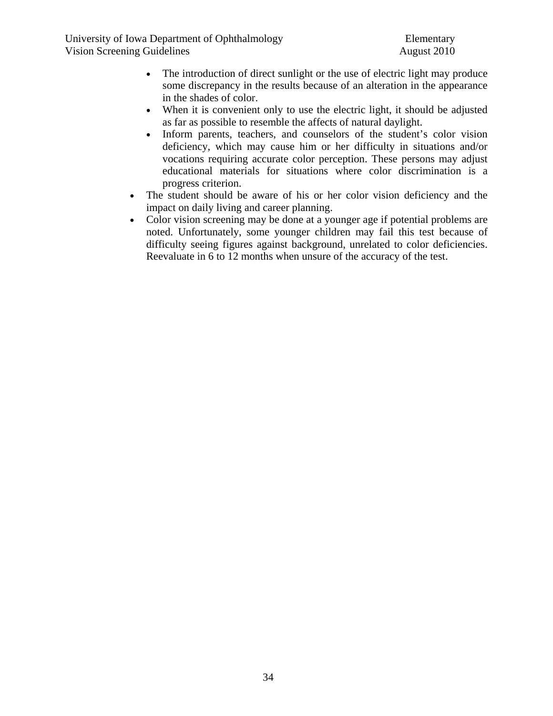- The introduction of direct sunlight or the use of electric light may produce some discrepancy in the results because of an alteration in the appearance in the shades of color.
- When it is convenient only to use the electric light, it should be adjusted as far as possible to resemble the affects of natural daylight.
- Inform parents, teachers, and counselors of the student's color vision deficiency, which may cause him or her difficulty in situations and/or vocations requiring accurate color perception. These persons may adjust educational materials for situations where color discrimination is a progress criterion.
- The student should be aware of his or her color vision deficiency and the impact on daily living and career planning.
- Color vision screening may be done at a younger age if potential problems are noted. Unfortunately, some younger children may fail this test because of difficulty seeing figures against background, unrelated to color deficiencies. Reevaluate in 6 to 12 months when unsure of the accuracy of the test.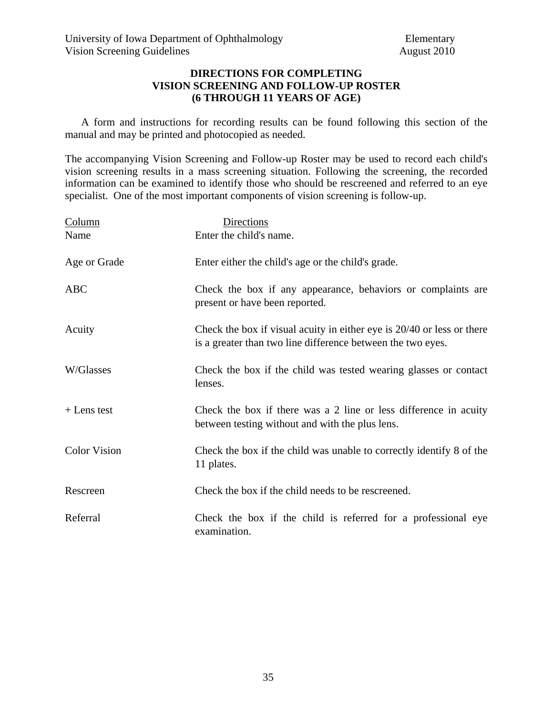#### **DIRECTIONS FOR COMPLETING VISION SCREENING AND FOLLOW-UP ROSTER (6 THROUGH 11 YEARS OF AGE)**

 A form and instructions for recording results can be found following this section of the manual and may be printed and photocopied as needed.

The accompanying Vision Screening and Follow-up Roster may be used to record each child's vision screening results in a mass screening situation. Following the screening, the recorded information can be examined to identify those who should be rescreened and referred to an eye specialist. One of the most important components of vision screening is follow-up.

| Column              | <b>Directions</b>                                                                                                                     |
|---------------------|---------------------------------------------------------------------------------------------------------------------------------------|
| Name                | Enter the child's name.                                                                                                               |
| Age or Grade        | Enter either the child's age or the child's grade.                                                                                    |
| <b>ABC</b>          | Check the box if any appearance, behaviors or complaints are<br>present or have been reported.                                        |
| Acuity              | Check the box if visual acuity in either eye is 20/40 or less or there<br>is a greater than two line difference between the two eyes. |
| W/Glasses           | Check the box if the child was tested wearing glasses or contact<br>lenses.                                                           |
| $+$ Lens test       | Check the box if there was a 2 line or less difference in acuity<br>between testing without and with the plus lens.                   |
| <b>Color Vision</b> | Check the box if the child was unable to correctly identify 8 of the<br>11 plates.                                                    |
| Rescreen            | Check the box if the child needs to be rescreened.                                                                                    |
| Referral            | Check the box if the child is referred for a professional eye<br>examination.                                                         |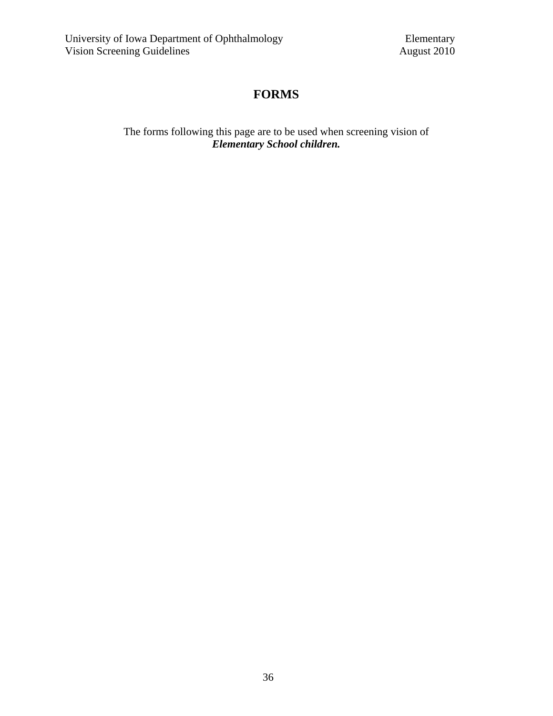### **FORMS**

The forms following this page are to be used when screening vision of *Elementary School children.*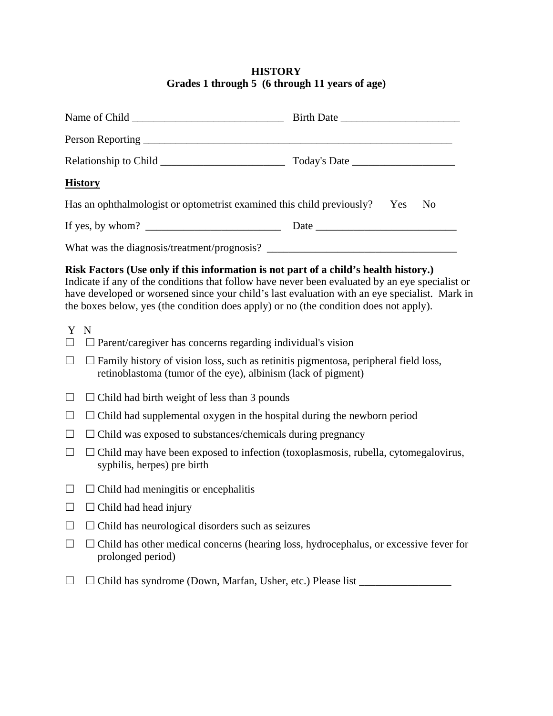#### **HISTORY Grades 1 through 5 (6 through 11 years of age)**

| <b>History</b>                                                               |  |  |
|------------------------------------------------------------------------------|--|--|
| Has an ophthalmologist or optometrist examined this child previously? Yes No |  |  |
| If yes, by whom? $\qquad \qquad$                                             |  |  |
|                                                                              |  |  |

#### **Risk Factors (Use only if this information is not part of a child's health history.)**

Indicate if any of the conditions that follow have never been evaluated by an eye specialist or have developed or worsened since your child's last evaluation with an eye specialist. Mark in the boxes below, yes (the condition does apply) or no (the condition does not apply).

- Y N
- $\Box$   $\Box$  Parent/caregiver has concerns regarding individual's vision
- $\Box$   $\Box$  Family history of vision loss, such as retinitis pigmentosa, peripheral field loss, retinoblastoma (tumor of the eye), albinism (lack of pigment)
- $\Box$   $\Box$  Child had birth weight of less than 3 pounds
- $\Box$   $\Box$  Child had supplemental oxygen in the hospital during the newborn period
- $\Box$   $\Box$  Child was exposed to substances/chemicals during pregnancy
- $\Box$   $\Box$  Child may have been exposed to infection (toxoplasmosis, rubella, cytomegalovirus, syphilis, herpes) pre birth
- $\Box$   $\Box$  Child had meningitis or encephalitis
- $\Box$   $\Box$  Child had head injury
- $\Box$   $\Box$  Child has neurological disorders such as seizures
- $\Box$   $\Box$  Child has other medical concerns (hearing loss, hydrocephalus, or excessive fever for prolonged period)
- $\Box$   $\Box$  Child has syndrome (Down, Marfan, Usher, etc.) Please list  $\Box$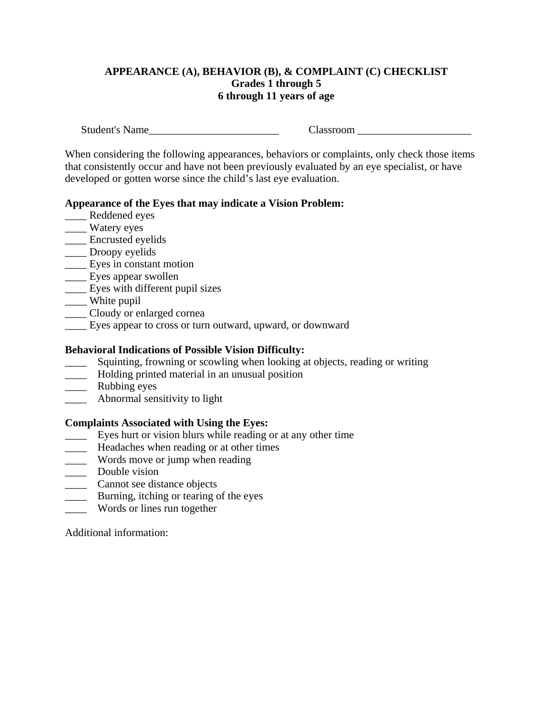#### **APPEARANCE (A), BEHAVIOR (B), & COMPLAINT (C) CHECKLIST Grades 1 through 5 6 through 11 years of age**

Student's Name\_\_\_\_\_\_\_\_\_\_\_\_\_\_\_\_\_\_\_\_\_\_\_\_ Classroom \_\_\_\_\_\_\_\_\_\_\_\_\_\_\_\_\_\_\_\_\_

When considering the following appearances, behaviors or complaints, only check those items that consistently occur and have not been previously evaluated by an eye specialist, or have developed or gotten worse since the child's last eye evaluation.

#### **Appearance of the Eyes that may indicate a Vision Problem:**

- Reddened eyes
- \_\_\_\_ Watery eyes
- \_\_\_\_ Encrusted eyelids
- \_\_\_\_ Droopy eyelids
- \_\_\_\_ Eyes in constant motion
- \_\_\_\_ Eyes appear swollen
- **Eyes with different pupil sizes**
- \_\_\_\_\_ White pupil
- \_\_\_\_ Cloudy or enlarged cornea
- \_\_\_\_ Eyes appear to cross or turn outward, upward, or downward

#### **Behavioral Indications of Possible Vision Difficulty:**

- \_\_\_\_ Squinting, frowning or scowling when looking at objects, reading or writing
- \_\_\_\_ Holding printed material in an unusual position
- \_\_\_\_ Rubbing eyes
- \_\_\_\_ Abnormal sensitivity to light

#### **Complaints Associated with Using the Eyes:**

- \_\_\_\_ Eyes hurt or vision blurs while reading or at any other time
- **EXECUTE:** Headaches when reading or at other times
- \_\_\_\_ Words move or jump when reading
- \_\_\_\_ Double vision
- \_\_\_\_ Cannot see distance objects
- **EXECUTE:** Burning, itching or tearing of the eyes
- \_\_\_\_ Words or lines run together

Additional information: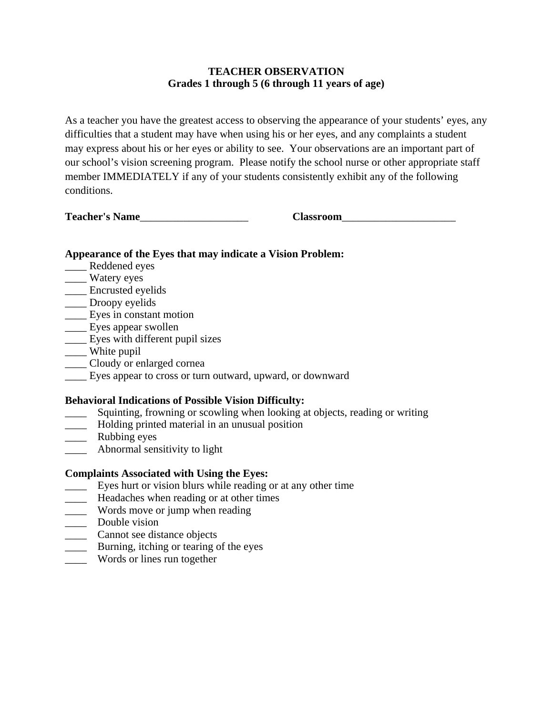#### **TEACHER OBSERVATION Grades 1 through 5 (6 through 11 years of age)**

As a teacher you have the greatest access to observing the appearance of your students' eyes, any difficulties that a student may have when using his or her eyes, and any complaints a student may express about his or her eyes or ability to see. Your observations are an important part of our school's vision screening program. Please notify the school nurse or other appropriate staff member IMMEDIATELY if any of your students consistently exhibit any of the following conditions.

**Teacher's Name**\_\_\_\_\_\_\_\_\_\_\_\_\_\_\_\_\_\_\_\_ **Classroom**\_\_\_\_\_\_\_\_\_\_\_\_\_\_\_\_\_\_\_\_\_

#### **Appearance of the Eyes that may indicate a Vision Problem:**

- Reddened eyes
- \_\_\_\_ Watery eyes
- \_\_\_\_ Encrusted eyelids
- \_\_\_\_ Droopy eyelids
- \_\_\_\_ Eyes in constant motion
- \_\_\_\_ Eyes appear swollen
- Eyes with different pupil sizes
- \_\_\_\_ White pupil
- \_\_\_\_ Cloudy or enlarged cornea
- \_\_\_\_ Eyes appear to cross or turn outward, upward, or downward

#### **Behavioral Indications of Possible Vision Difficulty:**

- Squinting, frowning or scowling when looking at objects, reading or writing
- \_\_\_\_ Holding printed material in an unusual position
- \_\_\_\_ Rubbing eyes
- \_\_\_\_ Abnormal sensitivity to light

### **Complaints Associated with Using the Eyes:**

- \_\_\_\_ Eyes hurt or vision blurs while reading or at any other time
- **EXECUTE:** Headaches when reading or at other times
- \_\_\_\_ Words move or jump when reading
- \_\_\_\_\_ Double vision
- \_\_\_\_ Cannot see distance objects
- **EXECUTE:** Burning, itching or tearing of the eyes
- \_\_\_\_ Words or lines run together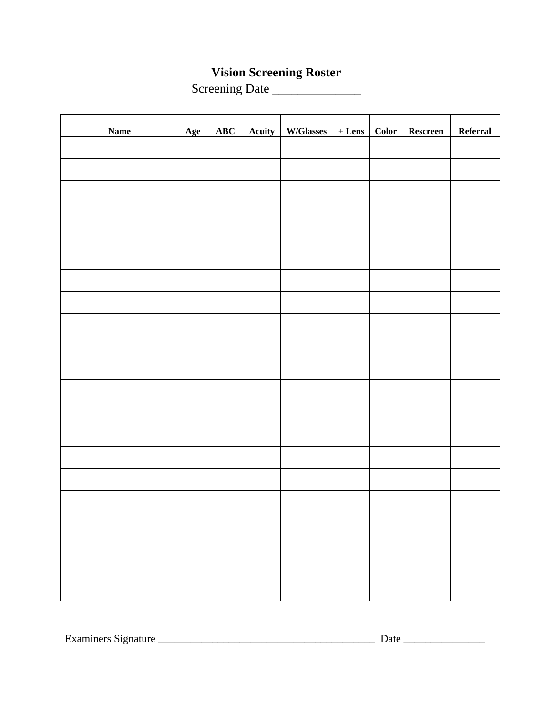### **Vision Screening Roster**

Screening Date \_\_\_\_\_\_\_\_\_\_\_\_\_\_

| <b>Name</b> | Age | ABC | Acuity   W/Glasses   + Lens   Color   Rescreen |  | Referral |
|-------------|-----|-----|------------------------------------------------|--|----------|
|             |     |     |                                                |  |          |
|             |     |     |                                                |  |          |
|             |     |     |                                                |  |          |
|             |     |     |                                                |  |          |
|             |     |     |                                                |  |          |
|             |     |     |                                                |  |          |
|             |     |     |                                                |  |          |
|             |     |     |                                                |  |          |
|             |     |     |                                                |  |          |
|             |     |     |                                                |  |          |
|             |     |     |                                                |  |          |
|             |     |     |                                                |  |          |
|             |     |     |                                                |  |          |
|             |     |     |                                                |  |          |
|             |     |     |                                                |  |          |
|             |     |     |                                                |  |          |
|             |     |     |                                                |  |          |
|             |     |     |                                                |  |          |
|             |     |     |                                                |  |          |
|             |     |     |                                                |  |          |
|             |     |     |                                                |  |          |

Examiners Signature \_\_\_\_\_\_\_\_\_\_\_\_\_\_\_\_\_\_\_\_\_\_\_\_\_\_\_\_\_\_\_\_\_\_\_\_\_\_\_\_ Date \_\_\_\_\_\_\_\_\_\_\_\_\_\_\_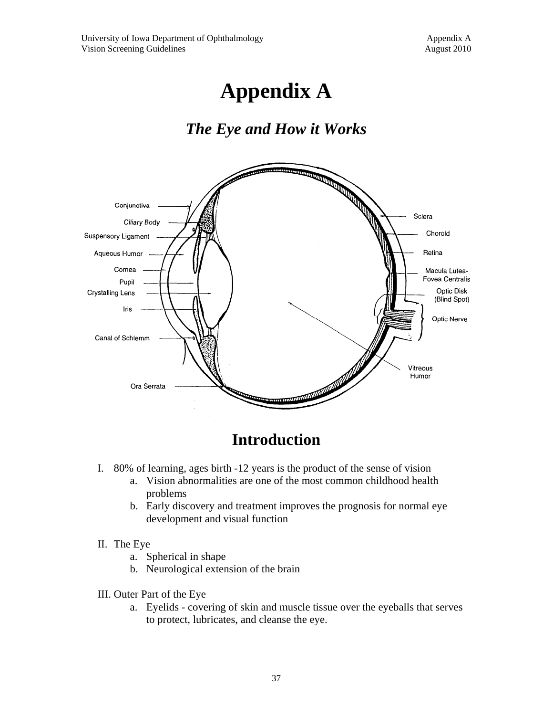# **Appendix A**

### *The Eye and How it Works*



### **Introduction**

- I. 80% of learning, ages birth -12 years is the product of the sense of vision
	- a. Vision abnormalities are one of the most common childhood health problems
	- b. Early discovery and treatment improves the prognosis for normal eye development and visual function

#### II. The Eye

- a. Spherical in shape
- b. Neurological extension of the brain
- III. Outer Part of the Eye
	- a. Eyelids covering of skin and muscle tissue over the eyeballs that serves to protect, lubricates, and cleanse the eye.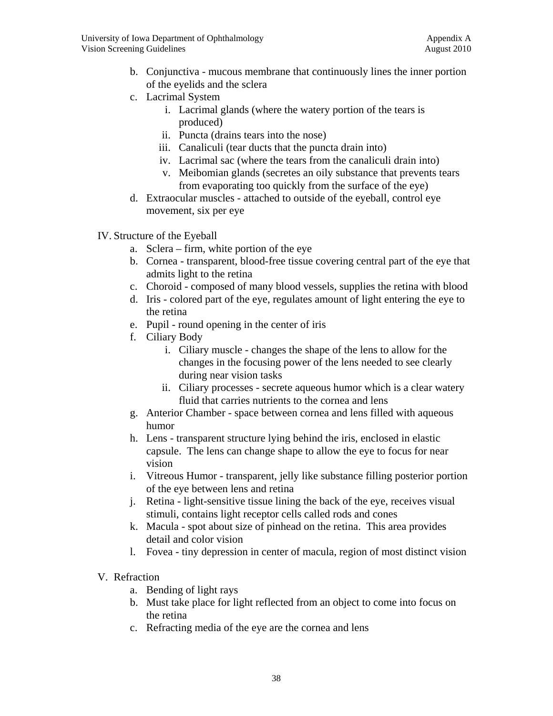- b. Conjunctiva mucous membrane that continuously lines the inner portion of the eyelids and the sclera
- c. Lacrimal System
	- i. Lacrimal glands (where the watery portion of the tears is produced)
	- ii. Puncta (drains tears into the nose)
	- iii. Canaliculi (tear ducts that the puncta drain into)
	- iv. Lacrimal sac (where the tears from the canaliculi drain into)
	- v. Meibomian glands (secretes an oily substance that prevents tears from evaporating too quickly from the surface of the eye)
- d. Extraocular muscles attached to outside of the eyeball, control eye movement, six per eye
- IV. Structure of the Eyeball
	- a. Sclera firm, white portion of the eye
	- b. Cornea transparent, blood-free tissue covering central part of the eye that admits light to the retina
	- c. Choroid composed of many blood vessels, supplies the retina with blood
	- d. Iris colored part of the eye, regulates amount of light entering the eye to the retina
	- e. Pupil round opening in the center of iris
	- f. Ciliary Body
		- i. Ciliary muscle changes the shape of the lens to allow for the changes in the focusing power of the lens needed to see clearly during near vision tasks
		- ii. Ciliary processes secrete aqueous humor which is a clear watery fluid that carries nutrients to the cornea and lens
	- g. Anterior Chamber space between cornea and lens filled with aqueous humor
	- h. Lens transparent structure lying behind the iris, enclosed in elastic capsule. The lens can change shape to allow the eye to focus for near vision
	- i. Vitreous Humor transparent, jelly like substance filling posterior portion of the eye between lens and retina
	- j. Retina light-sensitive tissue lining the back of the eye, receives visual stimuli, contains light receptor cells called rods and cones
	- k. Macula spot about size of pinhead on the retina. This area provides detail and color vision
	- l. Fovea tiny depression in center of macula, region of most distinct vision

#### V. Refraction

- a. Bending of light rays
- b. Must take place for light reflected from an object to come into focus on the retina
- c. Refracting media of the eye are the cornea and lens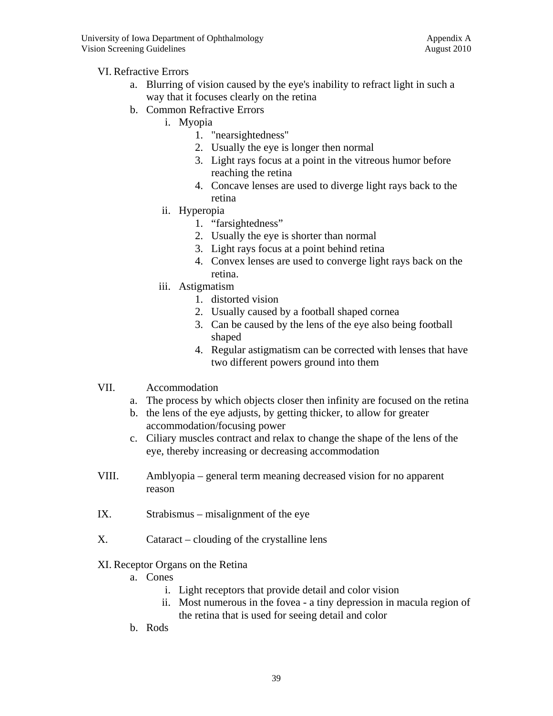#### VI. Refractive Errors

- a. Blurring of vision caused by the eye's inability to refract light in such a way that it focuses clearly on the retina
- b. Common Refractive Errors
	- i. Myopia
		- 1. "nearsightedness"
		- 2. Usually the eye is longer then normal
		- 3. Light rays focus at a point in the vitreous humor before reaching the retina
		- 4. Concave lenses are used to diverge light rays back to the retina
	- ii. Hyperopia
		- 1. "farsightedness"
		- 2. Usually the eye is shorter than normal
		- 3. Light rays focus at a point behind retina
		- 4. Convex lenses are used to converge light rays back on the retina.
	- iii. Astigmatism
		- 1. distorted vision
		- 2. Usually caused by a football shaped cornea
		- 3. Can be caused by the lens of the eye also being football shaped
		- 4. Regular astigmatism can be corrected with lenses that have two different powers ground into them
- VII. Accommodation
	- a. The process by which objects closer then infinity are focused on the retina
	- b. the lens of the eye adjusts, by getting thicker, to allow for greater accommodation/focusing power
	- c. Ciliary muscles contract and relax to change the shape of the lens of the eye, thereby increasing or decreasing accommodation
- VIII. Amblyopia general term meaning decreased vision for no apparent reason
- IX. Strabismus misalignment of the eye
- X. Cataract clouding of the crystalline lens
- XI. Receptor Organs on the Retina
	- a. Cones
		- i. Light receptors that provide detail and color vision
		- ii. Most numerous in the fovea a tiny depression in macula region of the retina that is used for seeing detail and color
	- b. Rods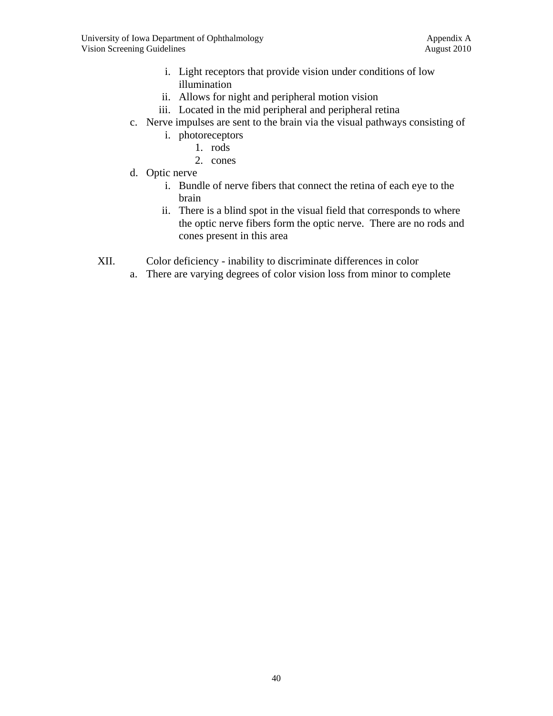- i. Light receptors that provide vision under conditions of low illumination
- ii. Allows for night and peripheral motion vision
- iii. Located in the mid peripheral and peripheral retina
- c. Nerve impulses are sent to the brain via the visual pathways consisting of
	- i. photoreceptors
		- 1. rods
		- 2. cones
- d. Optic nerve
	- i. Bundle of nerve fibers that connect the retina of each eye to the brain
	- ii. There is a blind spot in the visual field that corresponds to where the optic nerve fibers form the optic nerve. There are no rods and cones present in this area
- XII. Color deficiency inability to discriminate differences in color
	- a. There are varying degrees of color vision loss from minor to complete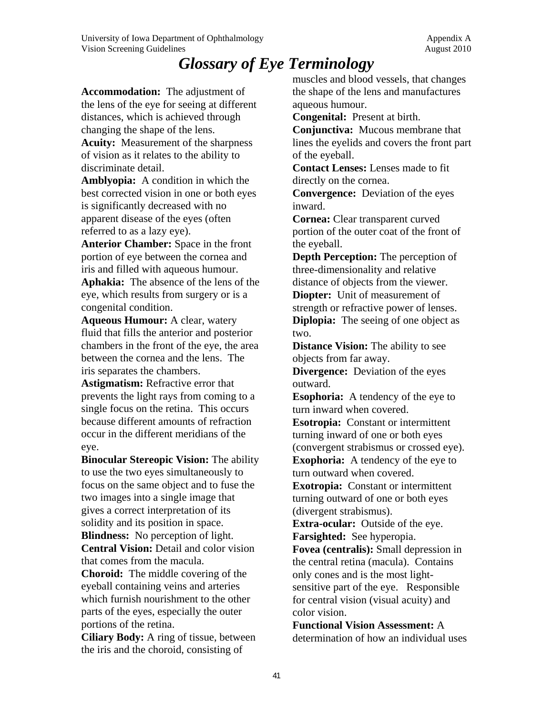## *Glossary of Eye Terminology*

**Accommodation:** The adjustment of the lens of the eye for seeing at different distances, which is achieved through changing the shape of the lens. **Acuity:** Measurement of the sharpness

of vision as it relates to the ability to discriminate detail.

**Amblyopia:** A condition in which the best corrected vision in one or both eyes is significantly decreased with no apparent disease of the eyes (often referred to as a lazy eye).

**Anterior Chamber:** Space in the front portion of eye between the cornea and iris and filled with aqueous humour.

**Aphakia:** The absence of the lens of the eye, which results from surgery or is a congenital condition.

**Aqueous Humour:** A clear, watery fluid that fills the anterior and posterior chambers in the front of the eye, the area between the cornea and the lens. The iris separates the chambers.

**Astigmatism:** Refractive error that prevents the light rays from coming to a single focus on the retina. This occurs because different amounts of refraction occur in the different meridians of the eye.

**Binocular Stereopic Vision:** The ability to use the two eyes simultaneously to focus on the same object and to fuse the two images into a single image that gives a correct interpretation of its solidity and its position in space.

**Blindness:** No perception of light. **Central Vision:** Detail and color vision

that comes from the macula.

**Choroid:** The middle covering of the eyeball containing veins and arteries which furnish nourishment to the other parts of the eyes, especially the outer portions of the retina.

**Ciliary Body:** A ring of tissue, between the iris and the choroid, consisting of

muscles and blood vessels, that changes the shape of the lens and manufactures aqueous humour.

**Congenital:** Present at birth.

**Conjunctiva:** Mucous membrane that lines the eyelids and covers the front part of the eyeball.

**Contact Lenses:** Lenses made to fit directly on the cornea.

**Convergence:** Deviation of the eyes inward.

**Cornea:** Clear transparent curved portion of the outer coat of the front of the eyeball.

**Depth Perception:** The perception of three-dimensionality and relative distance of objects from the viewer. **Diopter:** Unit of measurement of

strength or refractive power of lenses.

**Diplopia:** The seeing of one object as two.

**Distance Vision:** The ability to see objects from far away.

**Divergence:** Deviation of the eyes outward.

**Esophoria:** A tendency of the eye to turn inward when covered.

**Esotropia:** Constant or intermittent turning inward of one or both eyes (convergent strabismus or crossed eye).

**Exophoria:** A tendency of the eye to turn outward when covered.

**Exotropia:** Constant or intermittent turning outward of one or both eyes (divergent strabismus).

**Extra-ocular:** Outside of the eye. **Farsighted:** See hyperopia.

**Fovea (centralis):** Small depression in the central retina (macula). Contains only cones and is the most lightsensitive part of the eye. Responsible for central vision (visual acuity) and color vision.

**Functional Vision Assessment:** A determination of how an individual uses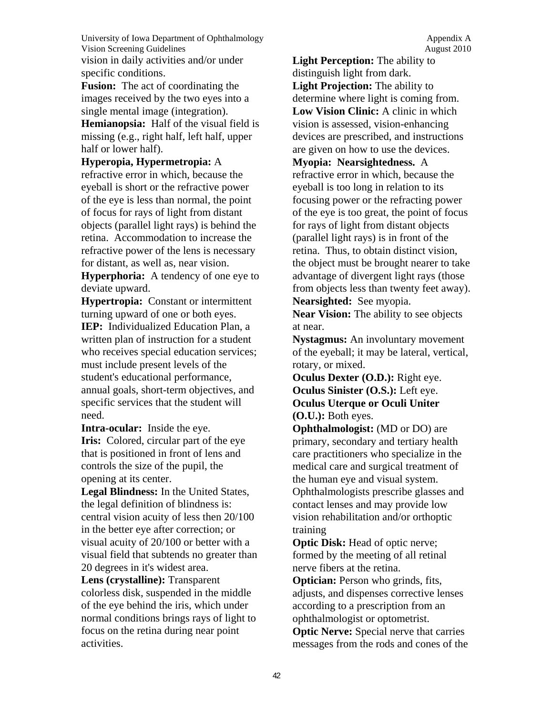University of Iowa Department of Ophthalmology Appendix A Vision Screening Guidelines **August 2010** August 2010 vision in daily activities and/or under specific conditions.

**Fusion:** The act of coordinating the images received by the two eyes into a single mental image (integration).

**Hemianopsia:** Half of the visual field is missing (e.g., right half, left half, upper half or lower half).

**Hyperopia, Hypermetropia:** A refractive error in which, because the eyeball is short or the refractive power of the eye is less than normal, the point of focus for rays of light from distant objects (parallel light rays) is behind the retina. Accommodation to increase the refractive power of the lens is necessary for distant, as well as, near vision.

**Hyperphoria:** A tendency of one eye to deviate upward.

**Hypertropia:** Constant or intermittent turning upward of one or both eyes. **IEP:** Individualized Education Plan, a written plan of instruction for a student who receives special education services; must include present levels of the student's educational performance, annual goals, short-term objectives, and specific services that the student will need.

**Intra-ocular:** Inside the eye. **Iris:** Colored, circular part of the eye that is positioned in front of lens and controls the size of the pupil, the opening at its center.

**Legal Blindness:** In the United States, the legal definition of blindness is: central vision acuity of less then 20/100 in the better eye after correction; or visual acuity of 20/100 or better with a visual field that subtends no greater than 20 degrees in it's widest area.

**Lens (crystalline):** Transparent colorless disk, suspended in the middle of the eye behind the iris, which under normal conditions brings rays of light to focus on the retina during near point activities.

**Light Perception:** The ability to distinguish light from dark. **Light Projection:** The ability to determine where light is coming from. **Low Vision Clinic:** A clinic in which vision is assessed, vision-enhancing devices are prescribed, and instructions are given on how to use the devices. **Myopia: Nearsightedness.** A refractive error in which, because the eyeball is too long in relation to its focusing power or the refracting power of the eye is too great, the point of focus for rays of light from distant objects (parallel light rays) is in front of the retina. Thus, to obtain distinct vision, the object must be brought nearer to take advantage of divergent light rays (those from objects less than twenty feet away).

**Nearsighted:** See myopia.

**Near Vision:** The ability to see objects at near.

**Nystagmus:** An involuntary movement of the eyeball; it may be lateral, vertical, rotary, or mixed.

**Oculus Dexter (O.D.):** Right eye. **Oculus Sinister (O.S.):** Left eye. **Oculus Uterque or Oculi Uniter (O.U.):** Both eyes.

**Ophthalmologist:** (MD or DO) are primary, secondary and tertiary health care practitioners who specialize in the medical care and surgical treatment of the human eye and visual system. Ophthalmologists prescribe glasses and contact lenses and may provide low vision rehabilitation and/or orthoptic training

**Optic Disk:** Head of optic nerve; formed by the meeting of all retinal nerve fibers at the retina.

**Optician:** Person who grinds, fits, adjusts, and dispenses corrective lenses according to a prescription from an ophthalmologist or optometrist.

**Optic Nerve:** Special nerve that carries messages from the rods and cones of the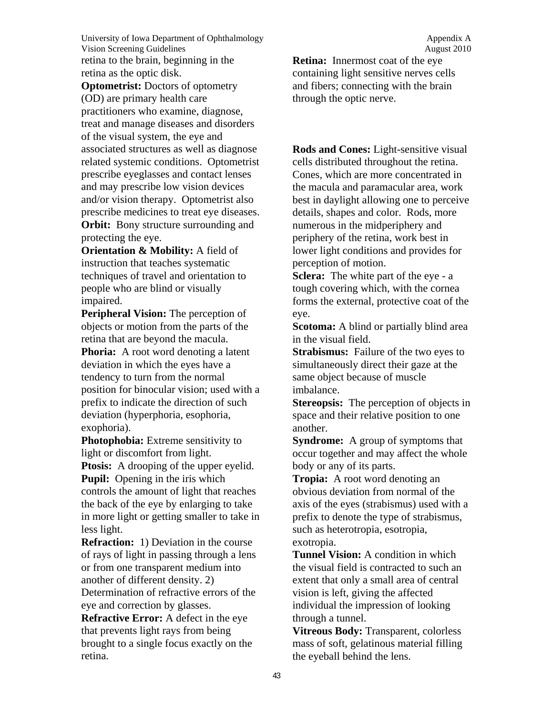University of Iowa Department of Ophthalmology Appendix A Vision Screening Guidelines **August 2010** August 2010 retina to the brain, beginning in the retina as the optic disk.

**Optometrist:** Doctors of optometry (OD) are primary health care practitioners who examine, diagnose, treat and manage diseases and disorders of the visual system, the eye and associated structures as well as diagnose related systemic conditions. Optometrist prescribe eyeglasses and contact lenses and may prescribe low vision devices and/or vision therapy. Optometrist also prescribe medicines to treat eye diseases. **Orbit:** Bony structure surrounding and protecting the eye.

**Orientation & Mobility:** A field of instruction that teaches systematic techniques of travel and orientation to people who are blind or visually impaired.

**Peripheral Vision:** The perception of objects or motion from the parts of the retina that are beyond the macula.

**Phoria:** A root word denoting a latent deviation in which the eyes have a tendency to turn from the normal position for binocular vision; used with a prefix to indicate the direction of such deviation (hyperphoria, esophoria, exophoria).

**Photophobia:** Extreme sensitivity to light or discomfort from light.

**Ptosis:** A drooping of the upper eyelid. **Pupil:** Opening in the iris which controls the amount of light that reaches the back of the eye by enlarging to take in more light or getting smaller to take in less light.

**Refraction:** 1) Deviation in the course of rays of light in passing through a lens or from one transparent medium into another of different density. 2) Determination of refractive errors of the eye and correction by glasses.

**Refractive Error:** A defect in the eye that prevents light rays from being brought to a single focus exactly on the retina.

**Retina:** Innermost coat of the eye containing light sensitive nerves cells and fibers; connecting with the brain through the optic nerve.

**Rods and Cones:** Light-sensitive visual cells distributed throughout the retina. Cones, which are more concentrated in the macula and paramacular area, work best in daylight allowing one to perceive details, shapes and color. Rods, more numerous in the midperiphery and periphery of the retina, work best in lower light conditions and provides for perception of motion.

**Sclera:** The white part of the eye - a tough covering which, with the cornea forms the external, protective coat of the eye.

**Scotoma:** A blind or partially blind area in the visual field.

**Strabismus:** Failure of the two eyes to simultaneously direct their gaze at the same object because of muscle imbalance.

**Stereopsis:** The perception of objects in space and their relative position to one another.

**Syndrome:** A group of symptoms that occur together and may affect the whole body or any of its parts.

**Tropia:** A root word denoting an obvious deviation from normal of the axis of the eyes (strabismus) used with a prefix to denote the type of strabismus, such as heterotropia, esotropia, exotropia.

**Tunnel Vision:** A condition in which the visual field is contracted to such an extent that only a small area of central vision is left, giving the affected individual the impression of looking through a tunnel.

**Vitreous Body:** Transparent, colorless mass of soft, gelatinous material filling the eyeball behind the lens.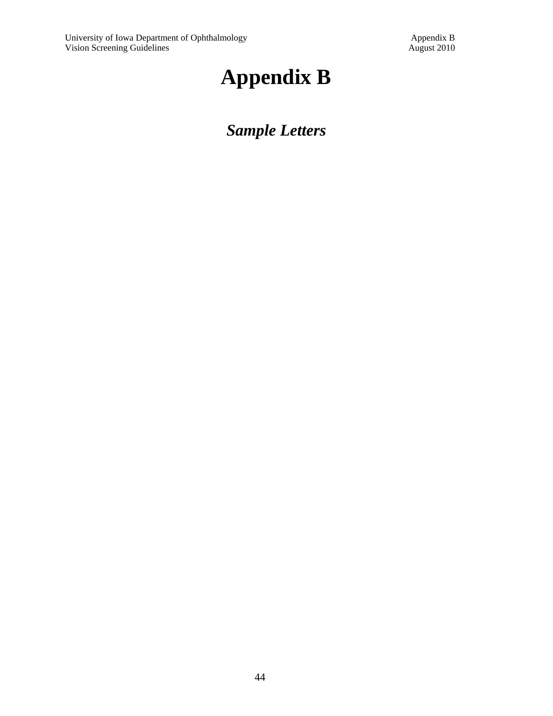# **Appendix B**

## *Sample Letters*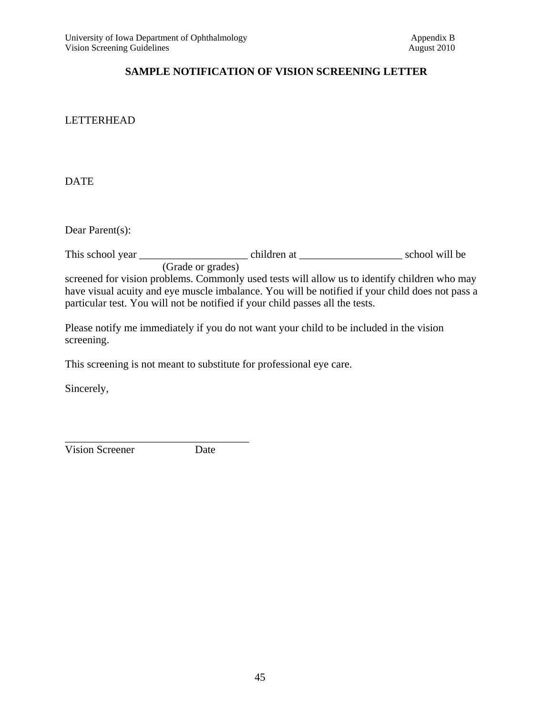#### **SAMPLE NOTIFICATION OF VISION SCREENING LETTER**

#### LETTERHEAD

DATE

Dear Parent(s):

This school year \_\_\_\_\_\_\_\_\_\_\_\_\_\_\_\_\_\_\_\_ children at \_\_\_\_\_\_\_\_\_\_\_\_\_\_\_\_\_\_\_ school will be (Grade or grades) screened for vision problems. Commonly used tests will allow us to identify children who may have visual acuity and eye muscle imbalance. You will be notified if your child does not pass a particular test. You will not be notified if your child passes all the tests.

Please notify me immediately if you do not want your child to be included in the vision screening.

This screening is not meant to substitute for professional eye care.

Sincerely,

Vision Screener Date

\_\_\_\_\_\_\_\_\_\_\_\_\_\_\_\_\_\_\_\_\_\_\_\_\_\_\_\_\_\_\_\_\_\_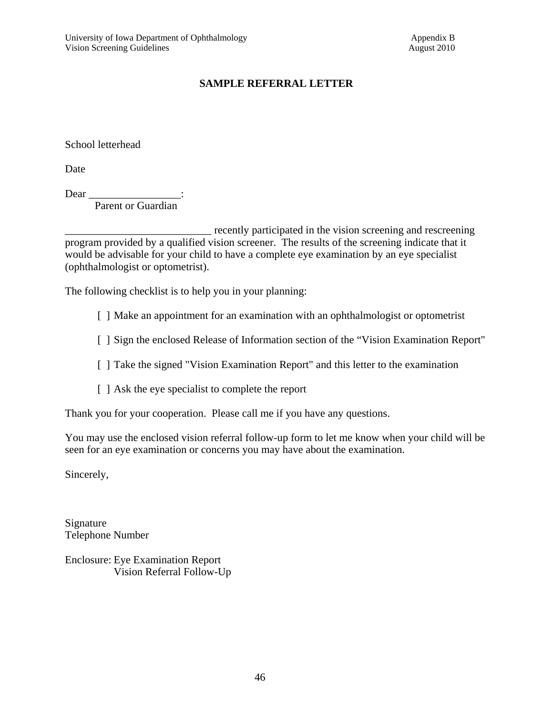#### **SAMPLE REFERRAL LETTER**

School letterhead

Date

Dear

Parent or Guardian

recently participated in the vision screening and rescreening program provided by a qualified vision screener. The results of the screening indicate that it would be advisable for your child to have a complete eye examination by an eye specialist (ophthalmologist or optometrist).

The following checklist is to help you in your planning:

[ ] Make an appointment for an examination with an ophthalmologist or optometrist

[ ] Sign the enclosed Release of Information section of the "Vision Examination Report"

[ ] Take the signed "Vision Examination Report" and this letter to the examination

[ ] Ask the eye specialist to complete the report

Thank you for your cooperation. Please call me if you have any questions.

You may use the enclosed vision referral follow-up form to let me know when your child will be seen for an eye examination or concerns you may have about the examination.

Sincerely,

Signature Telephone Number

Enclosure: Eye Examination Report Vision Referral Follow-Up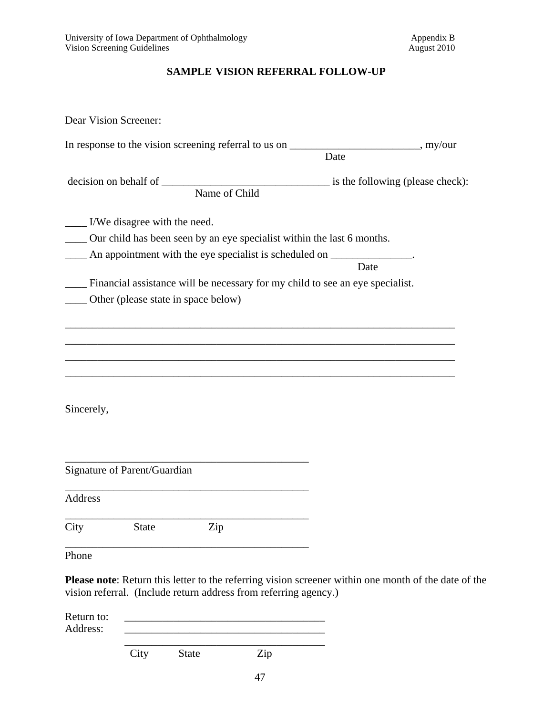#### **SAMPLE VISION REFERRAL FOLLOW-UP**

| Dear Vision Screener:                                                                                                                                                      |      |
|----------------------------------------------------------------------------------------------------------------------------------------------------------------------------|------|
| In response to the vision screening referral to us on ________________________, my/our                                                                                     | Date |
| decision on behalf of Name of Child is the following (please check):                                                                                                       |      |
| __ I/We disagree with the need.<br>Our child has been seen by an eye specialist within the last 6 months.<br>An appointment with the eye specialist is scheduled on ______ | Date |
| Financial assistance will be necessary for my child to see an eye specialist.<br>Other (please state in space below)                                                       |      |
|                                                                                                                                                                            |      |
| Sincerely,                                                                                                                                                                 |      |
| Signature of Parent/Guardian                                                                                                                                               |      |
| <b>Address</b>                                                                                                                                                             |      |
| Zip<br>City<br><b>State</b>                                                                                                                                                |      |
| Phone                                                                                                                                                                      |      |

**Please note**: Return this letter to the referring vision screener within one month of the date of the vision referral. (Include return address from referring agency.)

| Return to:<br>Address: |      |              |     |  |
|------------------------|------|--------------|-----|--|
|                        | City | <b>State</b> | Zip |  |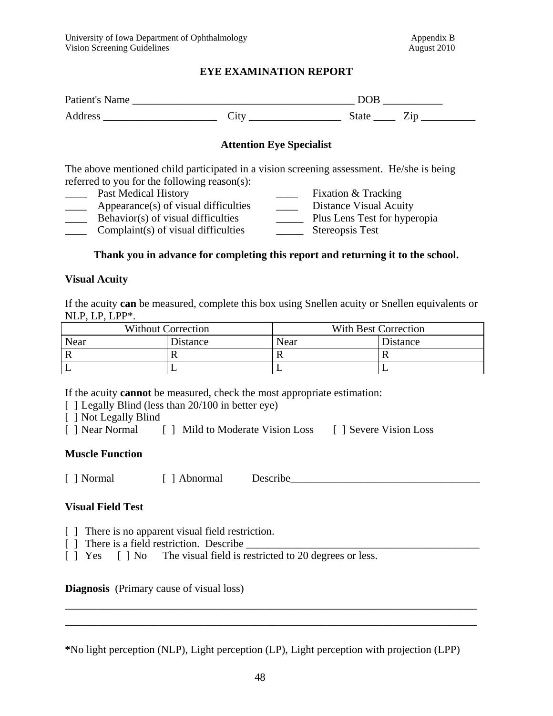#### **EYE EXAMINATION REPORT**

| Patient's Name |              | DOE   |  |
|----------------|--------------|-------|--|
| Address        | 1 t x<br>◡ェ◟ | State |  |

#### **Attention Eye Specialist**

The above mentioned child participated in a vision screening assessment. He/she is being referred to you for the following reason(s):

- 
- **Example 1** Past Medical History **Example 1** Fixation & Tracking
- Appearance(s) of visual difficulties \_\_\_\_\_\_\_\_\_ Distance Visual Acuity<br>Behavior(s) of visual difficulties \_\_\_\_\_\_\_\_\_\_\_\_ Plus Lens Test for hyperopia  $\frac{1}{\sqrt{2}}$  Behavior(s) of visual difficulties
- \_\_\_\_ Complaint(s) of visual difficulties \_\_\_\_\_ Stereopsis Test
- 
- -

#### **Thank you in advance for completing this report and returning it to the school.**

#### **Visual Acuity**

If the acuity **can** be measured, complete this box using Snellen acuity or Snellen equivalents or NLP, LP, LPP\*.

| <b>Without Correction</b> |                 | With Best Correction |          |  |
|---------------------------|-----------------|----------------------|----------|--|
| Near                      | <b>Distance</b> | Near                 | Distance |  |
|                           |                 |                      |          |  |
|                           |                 |                      |          |  |

If the acuity **cannot** be measured, check the most appropriate estimation:

- [ ] Legally Blind (less than 20/100 in better eye)
- [ ] Not Legally Blind
- [ ] Near Normal [ ] Mild to Moderate Vision Loss [ ] Severe Vision Loss

#### **Muscle Function**

[ ] Normal [ ] Abnormal Describe\_\_\_\_\_\_\_\_\_\_\_\_\_\_\_\_\_\_\_\_\_\_\_\_\_\_\_\_\_\_\_\_\_\_\_

#### **Visual Field Test**

- [ ] There is no apparent visual field restriction.
- $\lceil \ \rceil$  There is a field restriction. Describe
- [ ] Yes [ ] No The visual field is restricted to 20 degrees or less.

**Diagnosis** (Primary cause of visual loss)

**\***No light perception (NLP), Light perception (LP), Light perception with projection (LPP)

\_\_\_\_\_\_\_\_\_\_\_\_\_\_\_\_\_\_\_\_\_\_\_\_\_\_\_\_\_\_\_\_\_\_\_\_\_\_\_\_\_\_\_\_\_\_\_\_\_\_\_\_\_\_\_\_\_\_\_\_\_\_\_\_\_\_\_\_\_\_\_\_\_\_\_\_ \_\_\_\_\_\_\_\_\_\_\_\_\_\_\_\_\_\_\_\_\_\_\_\_\_\_\_\_\_\_\_\_\_\_\_\_\_\_\_\_\_\_\_\_\_\_\_\_\_\_\_\_\_\_\_\_\_\_\_\_\_\_\_\_\_\_\_\_\_\_\_\_\_\_\_\_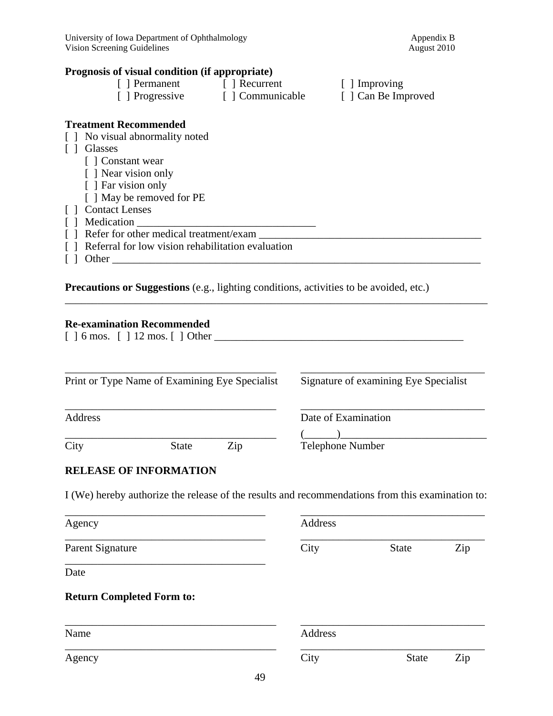#### **Prognosis of visual condition (if appropriate)**

| [ ] Permanent   | Recurrent        | $\lceil$ ] Improving |
|-----------------|------------------|----------------------|
| [ ] Progressive | [ ] Communicable | [ ] Can Be Improved  |
|                 |                  |                      |

#### **Treatment Recommended**

- [ ] No visual abnormality noted
- [ ] Glasses
	- [ ] Constant wear
	- [ ] Near vision only
	- [ ] Far vision only
	- [ ] May be removed for PE
- [ ] Contact Lenses
- [ ] Medication \_\_\_\_\_\_\_\_\_\_\_\_\_\_\_\_\_\_\_\_\_\_\_\_\_\_\_\_\_\_\_\_\_
- [ ] Refer for other medical treatment/exam \_\_\_\_\_\_\_\_\_\_\_\_\_\_\_\_\_\_\_\_\_\_\_\_\_\_\_\_\_\_\_\_\_\_\_\_\_\_\_\_\_
- [ ] Referral for low vision rehabilitation evaluation
- $\lceil \; \rceil$  Other  $\lceil \; \rceil$

**Precautions or Suggestions** (e.g., lighting conditions, activities to be avoided, etc.)

#### **Re-examination Recommended**

[ ] 6 mos. [ ] 12 mos. [ ] Other \_\_\_\_\_\_\_\_\_\_\_\_\_\_\_\_\_\_\_\_\_\_\_\_\_\_\_\_\_\_\_\_\_\_\_\_\_\_\_\_\_\_\_\_\_\_

| Print or Type Name of Examining Eye Specialist |              |     | Signature of examining Eye Specialist |
|------------------------------------------------|--------------|-----|---------------------------------------|
| Address                                        |              |     | Date of Examination                   |
| City                                           | <b>State</b> | Zip | <b>Telephone Number</b>               |

\_\_\_\_\_\_\_\_\_\_\_\_\_\_\_\_\_\_\_\_\_\_\_\_\_\_\_\_\_\_\_\_\_\_\_\_\_\_\_\_\_\_\_\_\_\_\_\_\_\_\_\_\_\_\_\_\_\_\_\_\_\_\_\_\_\_\_\_\_\_\_\_\_\_\_\_\_\_

#### **RELEASE OF INFORMATION**

I (We) hereby authorize the release of the results and recommendations from this examination to:

| Agency                                   | Address |              |     |
|------------------------------------------|---------|--------------|-----|
| Parent Signature                         | City    | <b>State</b> | Zip |
| Date                                     |         |              |     |
|                                          |         |              |     |
|                                          |         |              |     |
| <b>Return Completed Form to:</b><br>Name | Address |              |     |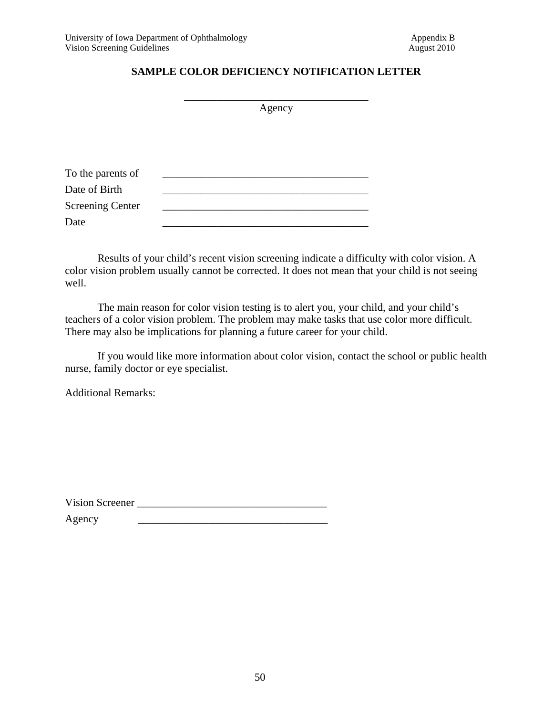#### **SAMPLE COLOR DEFICIENCY NOTIFICATION LETTER**

|                         | Agency |
|-------------------------|--------|
|                         |        |
|                         |        |
| To the parents of       |        |
| Date of Birth           |        |
| <b>Screening Center</b> |        |
| Date                    |        |

Results of your child's recent vision screening indicate a difficulty with color vision. A color vision problem usually cannot be corrected. It does not mean that your child is not seeing well.

The main reason for color vision testing is to alert you, your child, and your child's teachers of a color vision problem. The problem may make tasks that use color more difficult. There may also be implications for planning a future career for your child.

If you would like more information about color vision, contact the school or public health nurse, family doctor or eye specialist.

Additional Remarks:

Vision Screener \_\_\_\_\_\_\_\_\_\_\_\_\_\_\_\_\_\_\_\_\_\_\_\_\_\_\_\_\_\_\_\_\_\_\_

Agency \_\_\_\_\_\_\_\_\_\_\_\_\_\_\_\_\_\_\_\_\_\_\_\_\_\_\_\_\_\_\_\_\_\_\_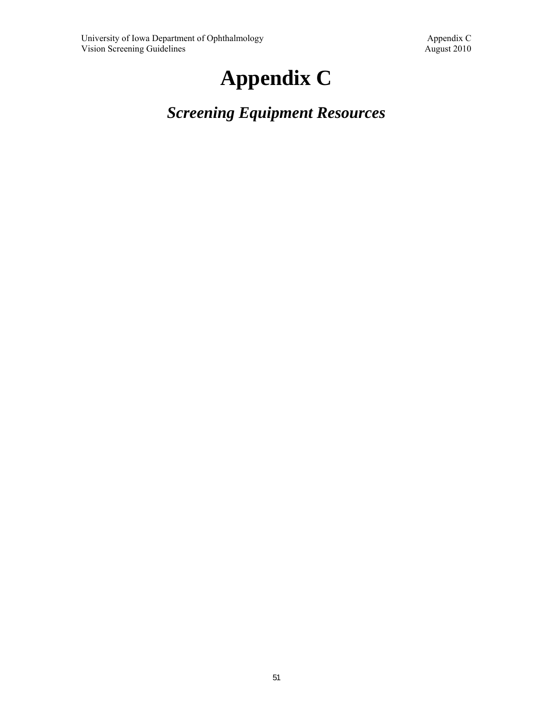# **Appendix C**

*Screening Equipment Resources*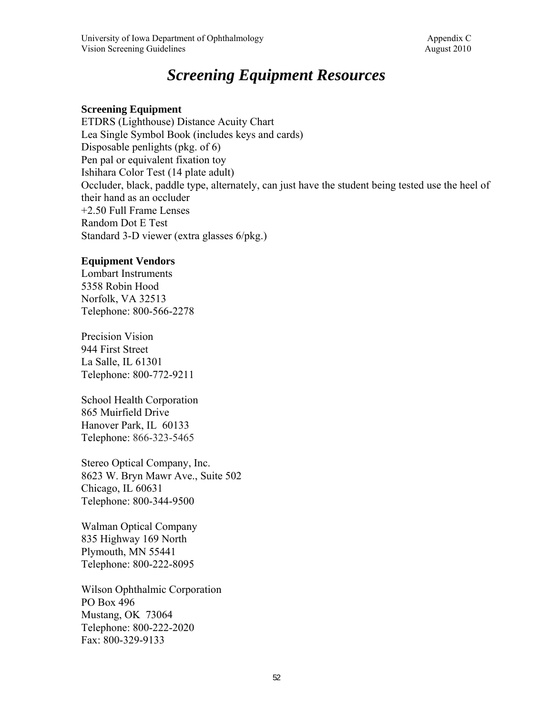### *Screening Equipment Resources*

#### **Screening Equipment**

ETDRS (Lighthouse) Distance Acuity Chart Lea Single Symbol Book (includes keys and cards) Disposable penlights (pkg. of 6) Pen pal or equivalent fixation toy Ishihara Color Test (14 plate adult) Occluder, black, paddle type, alternately, can just have the student being tested use the heel of their hand as an occluder +2.50 Full Frame Lenses Random Dot E Test Standard 3-D viewer (extra glasses 6/pkg.)

#### **Equipment Vendors**

Lombart Instruments 5358 Robin Hood Norfolk, VA 32513 Telephone: 800-566-2278

Precision Vision 944 First Street La Salle, IL 61301 Telephone: 800-772-9211

School Health Corporation 865 Muirfield Drive Hanover Park, IL 60133 Telephone: 866-323-5465

Stereo Optical Company, Inc. 8623 W. Bryn Mawr Ave., Suite 502 Chicago, IL 60631 Telephone: 800-344-9500

Walman Optical Company 835 Highway 169 North Plymouth, MN 55441 Telephone: 800-222-8095

Wilson Ophthalmic Corporation PO Box 496 Mustang, OK 73064 Telephone: 800-222-2020 Fax: 800-329-9133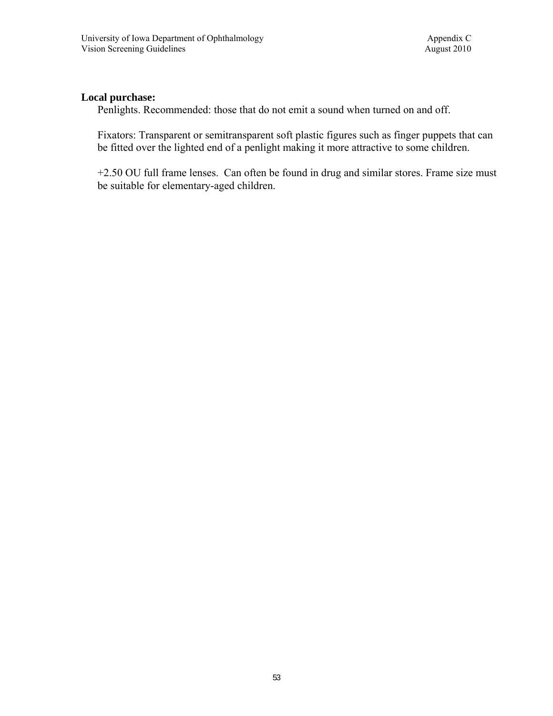#### **Local purchase:**

Penlights. Recommended: those that do not emit a sound when turned on and off.

Fixators: Transparent or semitransparent soft plastic figures such as finger puppets that can be fitted over the lighted end of a penlight making it more attractive to some children.

+2.50 OU full frame lenses. Can often be found in drug and similar stores. Frame size must be suitable for elementary-aged children.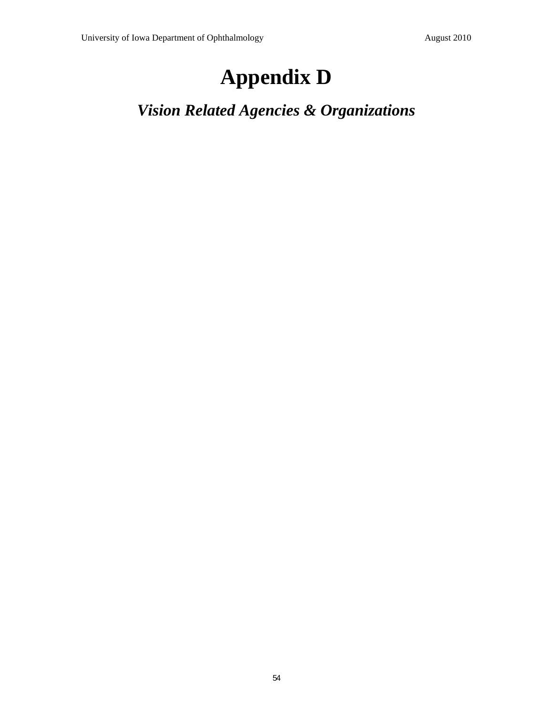## **Appendix D**

*Vision Related Agencies & Organizations*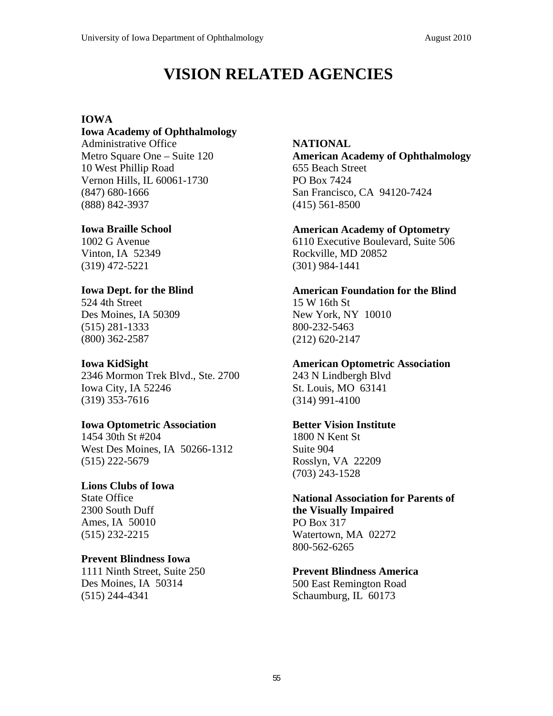### **VISION RELATED AGENCIES**

#### **IOWA**

#### **Iowa Academy of Ophthalmology**

Administrative Office Metro Square One – Suite 120 10 West Phillip Road Vernon Hills, IL 60061-1730 (847) 680-1666 (888) 842-3937

#### **Iowa Braille School**

1002 G Avenue Vinton, IA 52349 (319) 472-5221

#### **Iowa Dept. for the Blind**

524 4th Street Des Moines, IA 50309 (515) 281-1333 (800) 362-2587

#### **Iowa KidSight**

2346 Mormon Trek Blvd., Ste. 2700 Iowa City, IA 52246 (319) 353-7616

#### **Iowa Optometric Association**

1454 30th St #204 West Des Moines, IA 50266-1312 (515) 222-5679

#### **Lions Clubs of Iowa**

State Office 2300 South Duff Ames, IA 50010 (515) 232-2215

#### **Prevent Blindness Iowa**

1111 Ninth Street, Suite 250 Des Moines, IA 50314 (515) 244-4341

#### **NATIONAL**

**American Academy of Ophthalmology**  655 Beach Street PO Box 7424 San Francisco, CA 94120-7424 (415) 561-8500

#### **American Academy of Optometry**

6110 Executive Boulevard, Suite 506 Rockville, MD 20852 (301) 984-1441

#### **American Foundation for the Blind**

15 W 16th St New York, NY 10010 800-232-5463 (212) 620-2147

#### **American Optometric Association**

243 N Lindbergh Blvd St. Louis, MO 63141 (314) 991-4100

#### **Better Vision Institute**

1800 N Kent St Suite 904 Rosslyn, VA 22209 (703) 243-1528

#### **National Association for Parents of the Visually Impaired**

PO Box 317 Watertown, MA 02272 800-562-6265

#### **Prevent Blindness America**

500 East Remington Road Schaumburg, IL 60173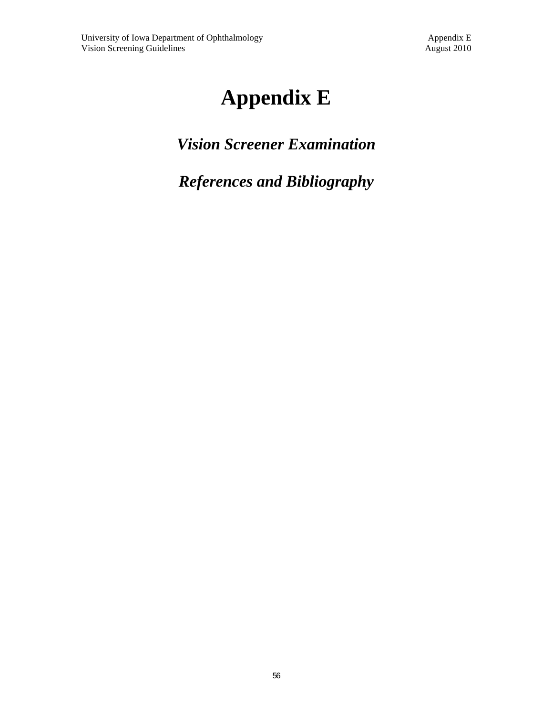# **Appendix E**

## *Vision Screener Examination*

## *References and Bibliography*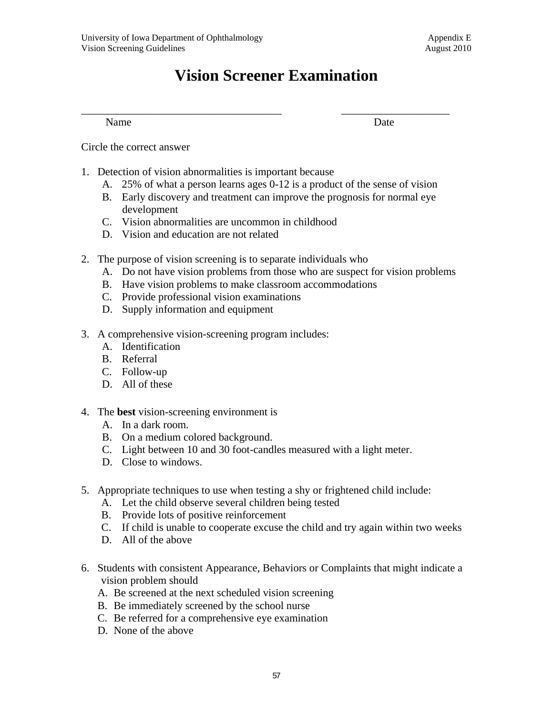### **Vision Screener Examination**

\_\_\_\_\_\_\_\_\_\_\_\_\_\_\_\_\_\_\_\_\_\_\_\_\_\_\_\_\_\_\_\_\_\_\_\_\_ \_\_\_\_\_\_\_\_\_\_\_\_\_\_\_\_\_\_\_\_

Name Date

Circle the correct answer

- 1. Detection of vision abnormalities is important because
	- A. 25% of what a person learns ages 0-12 is a product of the sense of vision
	- B. Early discovery and treatment can improve the prognosis for normal eye development
	- C. Vision abnormalities are uncommon in childhood
	- D. Vision and education are not related
- 2. The purpose of vision screening is to separate individuals who
	- A. Do not have vision problems from those who are suspect for vision problems
	- B. Have vision problems to make classroom accommodations
	- C. Provide professional vision examinations
	- D. Supply information and equipment
- 3. A comprehensive vision-screening program includes:
	- A. Identification
	- B. Referral
	- C. Follow-up
	- D. All of these
- 4. The **best** vision-screening environment is
	- A. In a dark room.
	- B. On a medium colored background.
	- C. Light between 10 and 30 foot-candles measured with a light meter.
	- D. Close to windows.
- 5. Appropriate techniques to use when testing a shy or frightened child include:
	- A. Let the child observe several children being tested
	- B. Provide lots of positive reinforcement
	- C. If child is unable to cooperate excuse the child and try again within two weeks
	- D. All of the above
- 6. Students with consistent Appearance, Behaviors or Complaints that might indicate a vision problem should
	- A. Be screened at the next scheduled vision screening
	- B. Be immediately screened by the school nurse
	- C. Be referred for a comprehensive eye examination
	- D. None of the above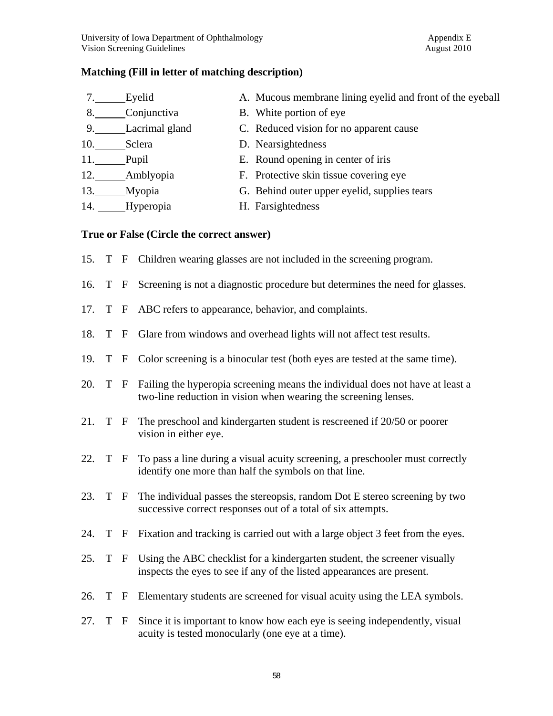#### **Matching (Fill in letter of matching description)**

|     | Eyelid         | A. Mucous membrane lining eyelid and front of the eyeball |
|-----|----------------|-----------------------------------------------------------|
| 8.  | Conjunctiva    | B. White portion of eye.                                  |
| 9.  | Lacrimal gland | C. Reduced vision for no apparent cause                   |
| 10. | Sclera         | D. Nearsightedness                                        |
| 11. | Pupil          | E. Round opening in center of iris                        |
| 12. | Amblyopia      | F. Protective skin tissue covering eye                    |
| 13. | Myopia         | G. Behind outer upper eyelid, supplies tears              |
| 14. | Hyperopia      | H. Farsightedness                                         |

#### **True or False (Circle the correct answer)**

|  |  |  |  | 15. T F Children wearing glasses are not included in the screening program. |  |
|--|--|--|--|-----------------------------------------------------------------------------|--|
|  |  |  |  |                                                                             |  |

- 16. T F Screening is not a diagnostic procedure but determines the need for glasses.
- 17. T F ABC refers to appearance, behavior, and complaints.
- 18. T F Glare from windows and overhead lights will not affect test results.
- 19. T F Color screening is a binocular test (both eyes are tested at the same time).
- 20. T F Failing the hyperopia screening means the individual does not have at least a two-line reduction in vision when wearing the screening lenses.
- 21. T F The preschool and kindergarten student is rescreened if 20/50 or poorer vision in either eye.
- 22. T F To pass a line during a visual acuity screening, a preschooler must correctly identify one more than half the symbols on that line.
- 23. T F The individual passes the stereopsis, random Dot E stereo screening by two successive correct responses out of a total of six attempts.
- 24. T F Fixation and tracking is carried out with a large object 3 feet from the eyes.
- 25. T F Using the ABC checklist for a kindergarten student, the screener visually inspects the eyes to see if any of the listed appearances are present.
- 26. T F Elementary students are screened for visual acuity using the LEA symbols.
- 27. T F Since it is important to know how each eye is seeing independently, visual acuity is tested monocularly (one eye at a time).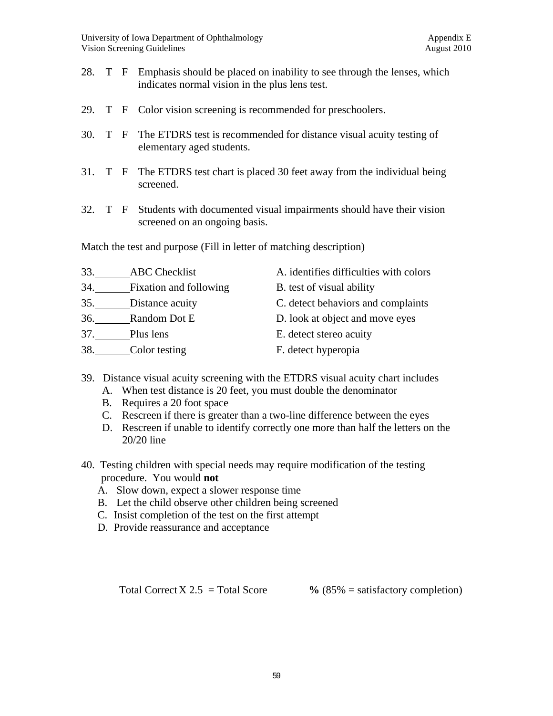- 28. T F Emphasis should be placed on inability to see through the lenses, which indicates normal vision in the plus lens test.
- 29. T F Color vision screening is recommended for preschoolers.
- 30. T F The ETDRS test is recommended for distance visual acuity testing of elementary aged students.
- 31. T F The ETDRS test chart is placed 30 feet away from the individual being screened.
- 32. T F Students with documented visual impairments should have their vision screened on an ongoing basis.

Match the test and purpose (Fill in letter of matching description)

| 33. | <b>ABC</b> Checklist   | A. identifies difficulties with colors |
|-----|------------------------|----------------------------------------|
| 34. | Fixation and following | B. test of visual ability              |
| 35. | Distance acuity        | C. detect behaviors and complaints     |
| 36. | Random Dot E           | D. look at object and move eyes        |
| 37. | Plus lens              | E. detect stereo acuity                |
| 38. | Color testing          | F. detect hyperopia                    |

- 39. Distance visual acuity screening with the ETDRS visual acuity chart includes
	- A. When test distance is 20 feet, you must double the denominator
	- B. Requires a 20 foot space
	- C. Rescreen if there is greater than a two-line difference between the eyes
	- D. Rescreen if unable to identify correctly one more than half the letters on the 20/20 line
- 40. Testing children with special needs may require modification of the testing procedure. You would **not**
	- A. Slow down, expect a slower response time
	- B. Let the child observe other children being screened
	- C. Insist completion of the test on the first attempt
	- D. Provide reassurance and acceptance

Total Correct  $X 2.5 = \text{Total Score}$  % (85% = satisfactory completion)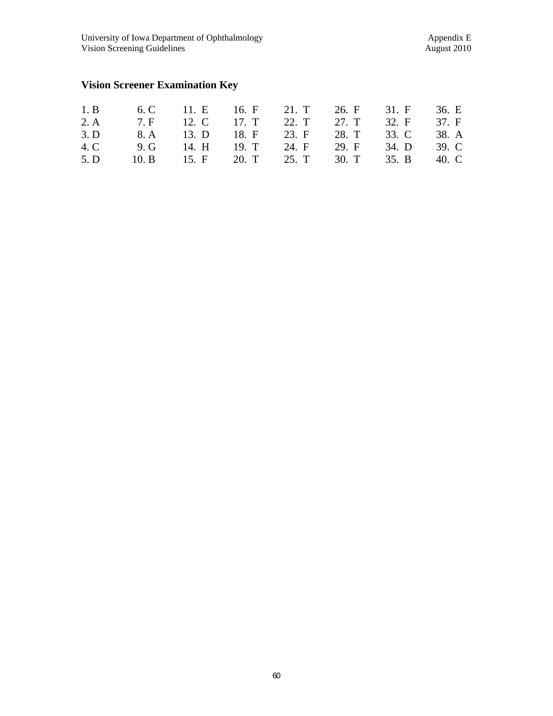### **Vision Screener Examination Key**

| 1. B 6. C 11. E 16. F 21. T 26. F 31. F 36. E  |  |  |  |
|------------------------------------------------|--|--|--|
| 2. A 7. F 12. C 17. T 22. T 27. T 32. F 37. F  |  |  |  |
| 3. D 8. A 13. D 18. F 23. F 28. T 33. C 38. A  |  |  |  |
| 4. C 9. G 14. H 19. T 24. F 29. F 34. D 39. C  |  |  |  |
| 5. D 10. B 15. F 20. T 25. T 30. T 35. B 40. C |  |  |  |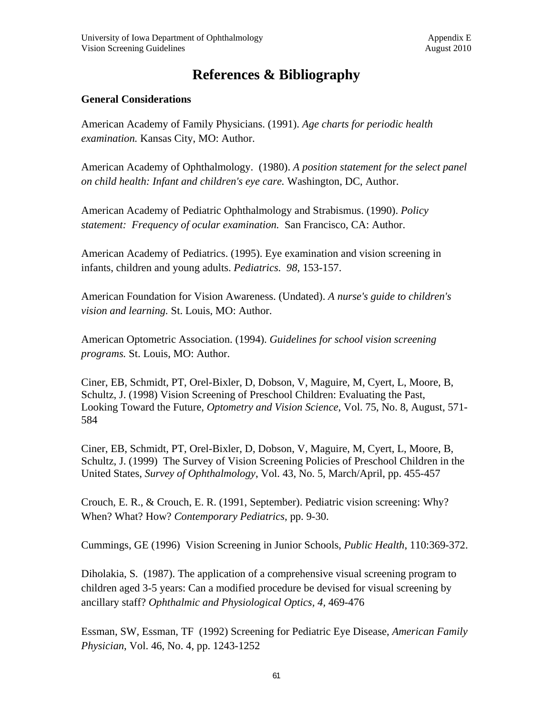### **References & Bibliography**

#### **General Considerations**

American Academy of Family Physicians. (1991). *Age charts for periodic health examination.* Kansas City, MO: Author.

American Academy of Ophthalmology. (1980). *A position statement for the select panel on child health: Infant and children's eye care.* Washington, DC, Author.

American Academy of Pediatric Ophthalmology and Strabismus. (1990). *Policy statement: Frequency of ocular examination.* San Francisco, CA: Author.

American Academy of Pediatrics. (1995). Eye examination and vision screening in infants, children and young adults. *Pediatrics. 98*, 153-157.

American Foundation for Vision Awareness. (Undated). *A nurse's guide to children's vision and learning.* St. Louis, MO: Author.

American Optometric Association. (1994). *Guidelines for school vision screening programs.* St. Louis, MO: Author.

Ciner, EB, Schmidt, PT, Orel-Bixler, D, Dobson, V, Maguire, M, Cyert, L, Moore, B, Schultz, J. (1998) Vision Screening of Preschool Children: Evaluating the Past, Looking Toward the Future, *Optometry and Vision Science*, Vol. 75, No. 8, August, 571- 584

Ciner, EB, Schmidt, PT, Orel-Bixler, D, Dobson, V, Maguire, M, Cyert, L, Moore, B, Schultz, J. (1999) The Survey of Vision Screening Policies of Preschool Children in the United States, *Survey of Ophthalmology*, Vol. 43, No. 5, March/April, pp. 455-457

Crouch, E. R., & Crouch, E. R. (1991, September). Pediatric vision screening: Why? When? What? How? *Contemporary Pediatrics*, pp. 9-30.

Cummings, GE (1996) Vision Screening in Junior Schools, *Public Health*, 110:369-372.

Diholakia, S. (1987). The application of a comprehensive visual screening program to children aged 3-5 years: Can a modified procedure be devised for visual screening by ancillary staff? *Ophthalmic and Physiological Optics, 4,* 469-476

Essman, SW, Essman, TF (1992) Screening for Pediatric Eye Disease, *American Family Physician*, Vol. 46, No. 4, pp. 1243-1252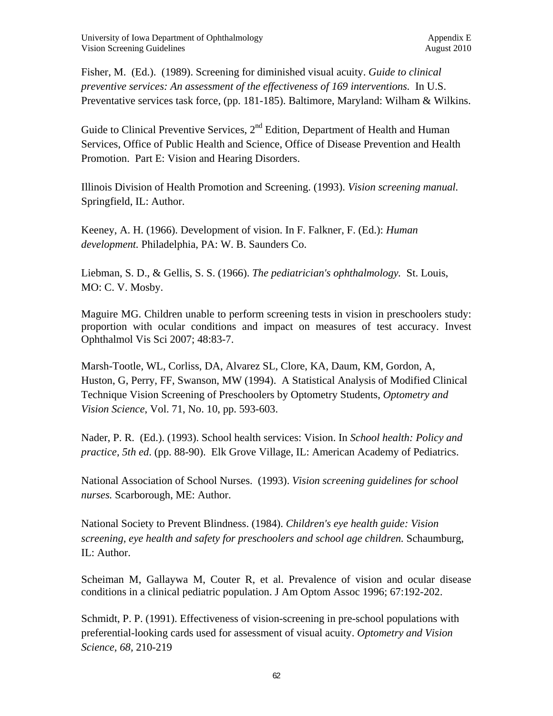Fisher, M. (Ed.). (1989). Screening for diminished visual acuity. *Guide to clinical preventive services: An assessment of the effectiveness of 169 interventions.* In U.S. Preventative services task force, (pp. 181-185). Baltimore, Maryland: Wilham & Wilkins.

Guide to Clinical Preventive Services,  $2<sup>nd</sup>$  Edition, Department of Health and Human Services, Office of Public Health and Science, Office of Disease Prevention and Health Promotion. Part E: Vision and Hearing Disorders.

Illinois Division of Health Promotion and Screening. (1993). *Vision screening manual.* Springfield, IL: Author.

Keeney, A. H. (1966). Development of vision. In F. Falkner, F. (Ed.): *Human development.* Philadelphia, PA: W. B. Saunders Co.

Liebman, S. D., & Gellis, S. S. (1966). *The pediatrician's ophthalmology.* St. Louis, MO: C. V. Mosby.

Maguire MG. Children unable to perform screening tests in vision in preschoolers study: proportion with ocular conditions and impact on measures of test accuracy. Invest Ophthalmol Vis Sci 2007; 48:83-7.

Marsh-Tootle, WL, Corliss, DA, Alvarez SL, Clore, KA, Daum, KM, Gordon, A, Huston, G, Perry, FF, Swanson, MW (1994). A Statistical Analysis of Modified Clinical Technique Vision Screening of Preschoolers by Optometry Students, *Optometry and Vision Science*, Vol. 71, No. 10, pp. 593-603.

Nader, P. R. (Ed.). (1993). School health services: Vision. In *School health: Policy and practice, 5th ed*. (pp. 88-90). Elk Grove Village, IL: American Academy of Pediatrics.

National Association of School Nurses. (1993). *Vision screening guidelines for school nurses.* Scarborough, ME: Author.

National Society to Prevent Blindness. (1984). *Children's eye health guide: Vision screening, eye health and safety for preschoolers and school age children.* Schaumburg, IL: Author.

Scheiman M, Gallaywa M, Couter R, et al. Prevalence of vision and ocular disease conditions in a clinical pediatric population. J Am Optom Assoc 1996; 67:192-202.

Schmidt, P. P. (1991). Effectiveness of vision-screening in pre-school populations with preferential-looking cards used for assessment of visual acuity. *Optometry and Vision Science, 68,* 210-219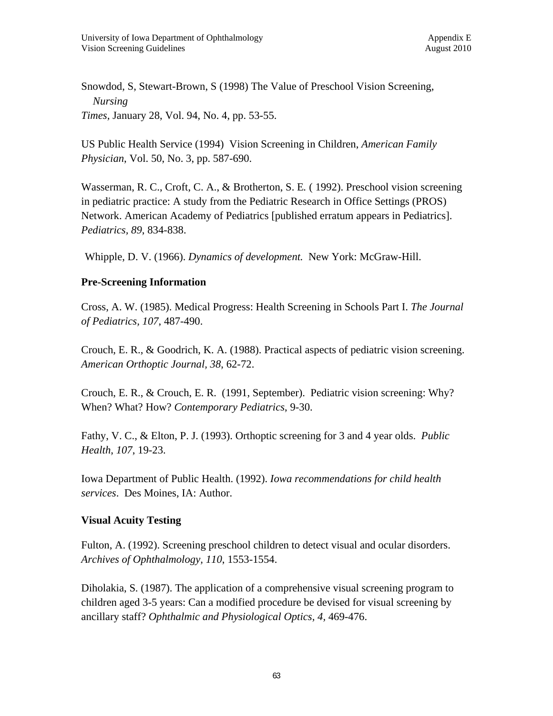Snowdod, S, Stewart-Brown, S (1998) The Value of Preschool Vision Screening, *Nursing Times,* January 28, Vol. 94, No. 4, pp. 53-55.

US Public Health Service (1994) Vision Screening in Children, *American Family Physician*, Vol. 50, No. 3, pp. 587-690.

Wasserman, R. C., Croft, C. A., & Brotherton, S. E*.* ( 1992). Preschool vision screening in pediatric practice: A study from the Pediatric Research in Office Settings (PROS) Network. American Academy of Pediatrics [published erratum appears in Pediatrics]. *Pediatrics, 89*, 834-838.

Whipple, D. V. (1966). *Dynamics of development.* New York: McGraw-Hill.

#### **Pre-Screening Information**

Cross, A. W. (1985). Medical Progress: Health Screening in Schools Part I. *The Journal of Pediatrics, 107*, 487-490.

Crouch, E. R., & Goodrich, K. A. (1988). Practical aspects of pediatric vision screening. *American Orthoptic Journal, 38*, 62-72.

Crouch, E. R., & Crouch, E. R. (1991, September). Pediatric vision screening: Why? When? What? How? *Contemporary Pediatrics*, 9-30.

Fathy, V. C., & Elton, P. J. (1993). Orthoptic screening for 3 and 4 year olds. *Public Health*, *107*, 19-23.

Iowa Department of Public Health. (1992). *Iowa recommendations for child health services*. Des Moines, IA: Author.

#### **Visual Acuity Testing**

Fulton, A. (1992). Screening preschool children to detect visual and ocular disorders. *Archives of Ophthalmology, 110*, 1553-1554.

Diholakia, S. (1987). The application of a comprehensive visual screening program to children aged 3-5 years: Can a modified procedure be devised for visual screening by ancillary staff? *Ophthalmic and Physiological Optics, 4,* 469-476.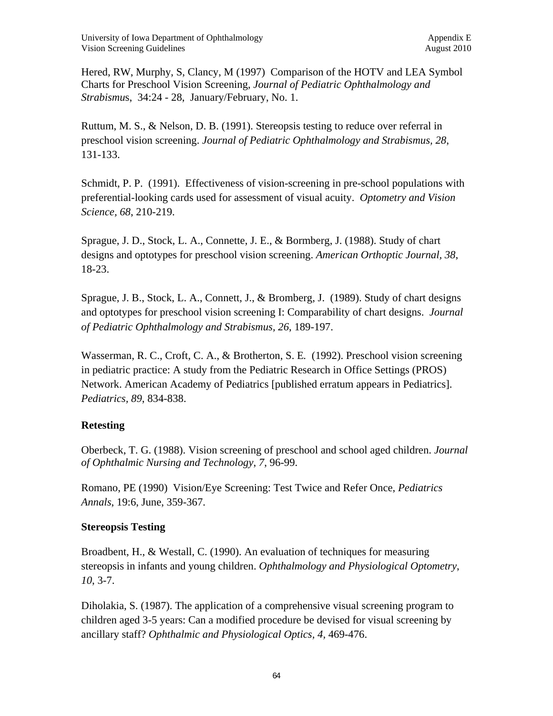Hered, RW, Murphy, S, Clancy, M (1997) Comparison of the HOTV and LEA Symbol Charts for Preschool Vision Screening, *Journal of Pediatric Ophthalmology and Strabismu*s, 34:24 - 28, January/February, No. 1.

Ruttum, M. S., & Nelson, D. B. (1991). Stereopsis testing to reduce over referral in preschool vision screening. *Journal of Pediatric Ophthalmology and Strabismus, 28*, 131-133.

Schmidt, P. P. (1991). Effectiveness of vision-screening in pre-school populations with preferential-looking cards used for assessment of visual acuity. *Optometry and Vision Science, 68*, 210-219.

Sprague, J. D., Stock, L. A., Connette, J. E., & Bormberg, J. (1988). Study of chart designs and optotypes for preschool vision screening. *American Orthoptic Journal, 38*, 18-23.

Sprague, J. B., Stock, L. A., Connett, J., & Bromberg, J. (1989). Study of chart designs and optotypes for preschool vision screening I: Comparability of chart designs. *Journal of Pediatric Ophthalmology and Strabismus, 26*, 189-197.

Wasserman, R. C., Croft, C. A., & Brotherton, S. E*.* (1992). Preschool vision screening in pediatric practice: A study from the Pediatric Research in Office Settings (PROS) Network. American Academy of Pediatrics [published erratum appears in Pediatrics]. *Pediatrics, 89*, 834-838.

## **Retesting**

Oberbeck, T. G. (1988). Vision screening of preschool and school aged children. *Journal of Ophthalmic Nursing and Technology*, *7*, 96-99.

Romano, PE (1990) Vision/Eye Screening: Test Twice and Refer Once, *Pediatrics Annals*, 19:6, June, 359-367.

## **Stereopsis Testing**

Broadbent, H., & Westall, C. (1990). An evaluation of techniques for measuring stereopsis in infants and young children. *Ophthalmology and Physiological Optometry*, *10*, 3-7.

Diholakia, S. (1987). The application of a comprehensive visual screening program to children aged 3-5 years: Can a modified procedure be devised for visual screening by ancillary staff? *Ophthalmic and Physiological Optics, 4,* 469-476.